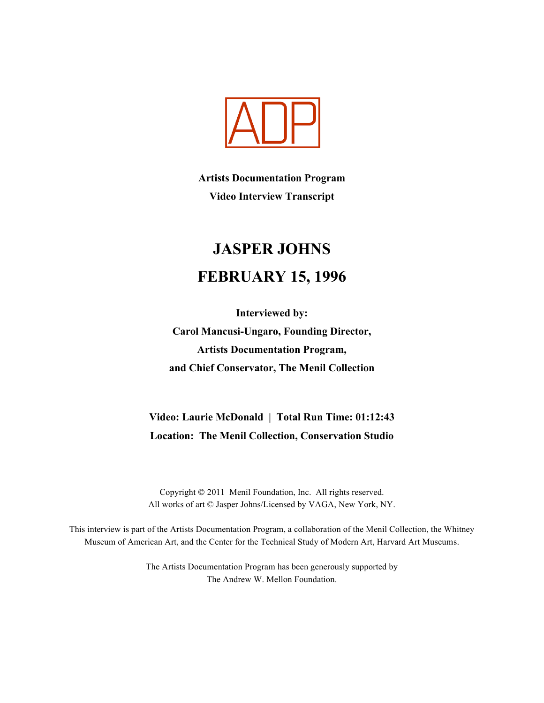

**Artists Documentation Program Video Interview Transcript**

# **JASPER JOHNS FEBRUARY 15, 1996**

**Interviewed by: Carol Mancusi-Ungaro, Founding Director, Artists Documentation Program, and Chief Conservator, The Menil Collection**

# **Video: Laurie McDonald | Total Run Time: 01:12:43 Location: The Menil Collection, Conservation Studio**

Copyright 2011 Menil Foundation, Inc. All rights reserved. All works of art © Jasper Johns/Licensed by VAGA, New York, NY.

This interview is part of the Artists Documentation Program, a collaboration of the Menil Collection, the Whitney Museum of American Art, and the Center for the Technical Study of Modern Art, Harvard Art Museums.

> The Artists Documentation Program has been generously supported by The Andrew W. Mellon Foundation.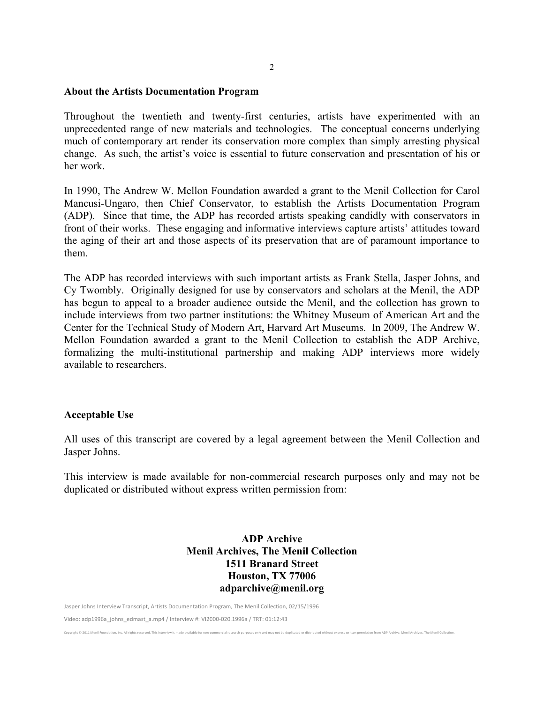#### **About the Artists Documentation Program**

Throughout the twentieth and twenty-first centuries, artists have experimented with an unprecedented range of new materials and technologies. The conceptual concerns underlying much of contemporary art render its conservation more complex than simply arresting physical change. As such, the artist's voice is essential to future conservation and presentation of his or her work.

In 1990, The Andrew W. Mellon Foundation awarded a grant to the Menil Collection for Carol Mancusi-Ungaro, then Chief Conservator, to establish the Artists Documentation Program (ADP). Since that time, the ADP has recorded artists speaking candidly with conservators in front of their works. These engaging and informative interviews capture artists' attitudes toward the aging of their art and those aspects of its preservation that are of paramount importance to them.

The ADP has recorded interviews with such important artists as Frank Stella, Jasper Johns, and Cy Twombly. Originally designed for use by conservators and scholars at the Menil, the ADP has begun to appeal to a broader audience outside the Menil, and the collection has grown to include interviews from two partner institutions: the Whitney Museum of American Art and the Center for the Technical Study of Modern Art, Harvard Art Museums. In 2009, The Andrew W. Mellon Foundation awarded a grant to the Menil Collection to establish the ADP Archive, formalizing the multi-institutional partnership and making ADP interviews more widely available to researchers.

#### **Acceptable Use**

All uses of this transcript are covered by a legal agreement between the Menil Collection and Jasper Johns.

This interview is made available for non-commercial research purposes only and may not be duplicated or distributed without express written permission from:

## **ADP Archive Menil Archives, The Menil Collection 1511 Branard Street Houston, TX 77006 adparchive@menil.org**

Copyright © 2011 Menil Foundation, Inc. All rights reserved. This interview is made available for non-commercial research purposes only and may not be duplicated or distributed without express written permission from ADP A

Jasper Johns Interview Transcript, Artists Documentation Program, The Menil Collection, 02/15/1996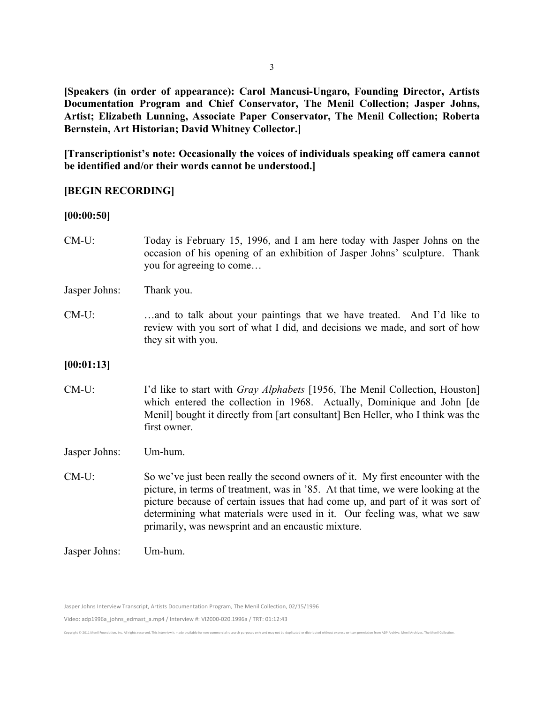**[Speakers (in order of appearance): Carol Mancusi-Ungaro, Founding Director, Artists Documentation Program and Chief Conservator, The Menil Collection; Jasper Johns, Artist; Elizabeth Lunning, Associate Paper Conservator, The Menil Collection; Roberta Bernstein, Art Historian; David Whitney Collector.]**

**[Transcriptionist's note: Occasionally the voices of individuals speaking off camera cannot be identified and/or their words cannot be understood.]**

## **[BEGIN RECORDING]**

#### **[00:00:50]**

- CM-U: Today is February 15, 1996, and I am here today with Jasper Johns on the occasion of his opening of an exhibition of Jasper Johns' sculpture. Thank you for agreeing to come…
- Jasper Johns: Thank you.
- CM-U: …and to talk about your paintings that we have treated. And I'd like to review with you sort of what I did, and decisions we made, and sort of how they sit with you.

#### **[00:01:13]**

CM-U: I'd like to start with *Gray Alphabets* [1956, The Menil Collection, Houston] which entered the collection in 1968. Actually, Dominique and John [de Menil] bought it directly from [art consultant] Ben Heller, who I think was the first owner.

Jasper Johns: Um-hum.

- CM-U: So we've just been really the second owners of it. My first encounter with the picture, in terms of treatment, was in '85. At that time, we were looking at the picture because of certain issues that had come up, and part of it was sort of determining what materials were used in it. Our feeling was, what we saw primarily, was newsprint and an encaustic mixture.
- Jasper Johns: Um-hum.

Jasper Johns Interview Transcript, Artists Documentation Program, The Menil Collection, 02/15/1996

Video: adp1996a\_johns\_edmast\_a.mp4 / Interview #: VI2000-020.1996a / TRT: 01:12:43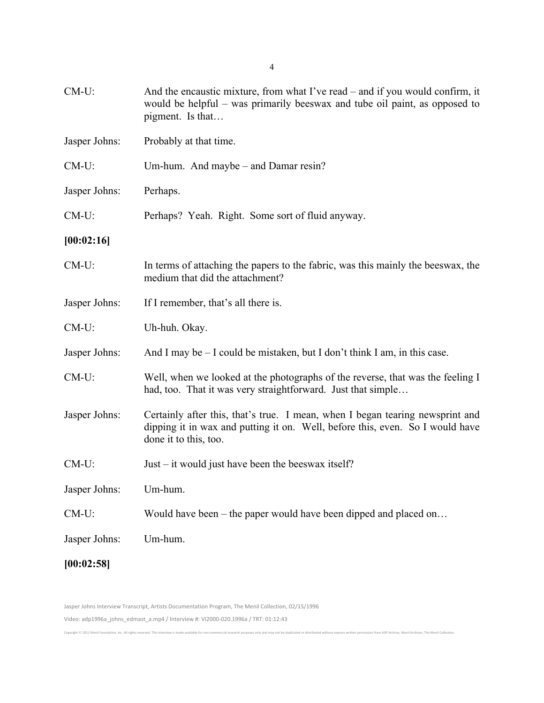| $CM-U$ :      | And the encaustic mixture, from what I've read – and if you would confirm, it<br>would be helpful – was primarily beeswax and tube oil paint, as opposed to<br>pigment. Is that         |
|---------------|-----------------------------------------------------------------------------------------------------------------------------------------------------------------------------------------|
| Jasper Johns: | Probably at that time.                                                                                                                                                                  |
| $CM-U$ :      | Um-hum. And maybe – and Damar resin?                                                                                                                                                    |
| Jasper Johns: | Perhaps.                                                                                                                                                                                |
| $CM-U$ :      | Perhaps? Yeah. Right. Some sort of fluid anyway.                                                                                                                                        |
| [00:02:16]    |                                                                                                                                                                                         |
| $CM-U$ :      | In terms of attaching the papers to the fabric, was this mainly the beeswax, the<br>medium that did the attachment?                                                                     |
| Jasper Johns: | If I remember, that's all there is.                                                                                                                                                     |
| $CM-U$ :      | Uh-huh. Okay.                                                                                                                                                                           |
| Jasper Johns: | And I may be – I could be mistaken, but I don't think I am, in this case.                                                                                                               |
| $CM-U$ :      | Well, when we looked at the photographs of the reverse, that was the feeling I<br>had, too. That it was very straightforward. Just that simple                                          |
| Jasper Johns: | Certainly after this, that's true. I mean, when I began tearing newsprint and<br>dipping it in wax and putting it on. Well, before this, even. So I would have<br>done it to this, too. |
| $CM-U$ :      | Just – it would just have been the beeswax itself?                                                                                                                                      |
| Jasper Johns: | Um-hum.                                                                                                                                                                                 |
| CM-U:         | Would have been – the paper would have been dipped and placed on                                                                                                                        |
| Jasper Johns: | Um-hum.                                                                                                                                                                                 |
| [00:02:58]    |                                                                                                                                                                                         |

Jasper Johns Interview Transcript, Artists Documentation Program, The Menil Collection, 02/15/1996

Copyright © 2011 Menil Foundation, Inc. All rights reserved. This interview is made available for non-commercial research purposes only and may not be duplicated or distributed without express written permission from ADP A

Video: adp1996a\_johns\_edmast\_a.mp4 / Interview #: VI2000-020.1996a / TRT: 01:12:43

4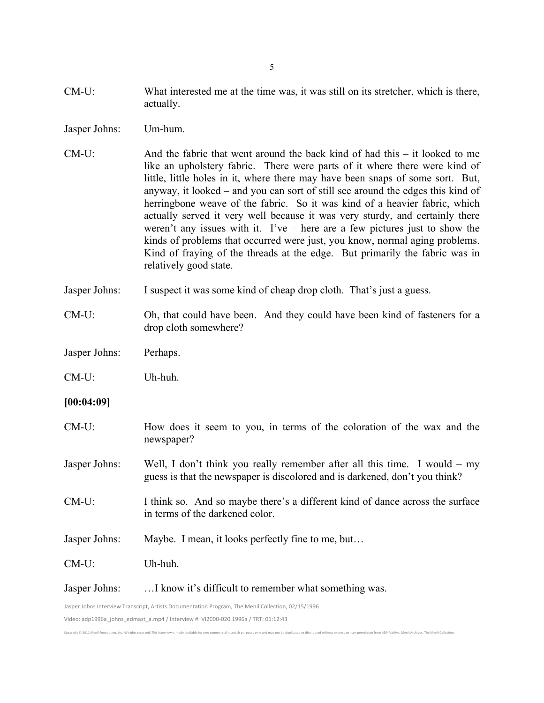- CM-U: What interested me at the time was, it was still on its stretcher, which is there, actually.
- Jasper Johns: Um-hum.
- CM-U: And the fabric that went around the back kind of had this it looked to me like an upholstery fabric. There were parts of it where there were kind of little, little holes in it, where there may have been snaps of some sort. But, anyway, it looked – and you can sort of still see around the edges this kind of herringbone weave of the fabric. So it was kind of a heavier fabric, which actually served it very well because it was very sturdy, and certainly there weren't any issues with it. I've – here are a few pictures just to show the kinds of problems that occurred were just, you know, normal aging problems. Kind of fraying of the threads at the edge. But primarily the fabric was in relatively good state.
- Jasper Johns: I suspect it was some kind of cheap drop cloth. That's just a guess.
- CM-U: Oh, that could have been. And they could have been kind of fasteners for a drop cloth somewhere?
- Jasper Johns: Perhaps.
- CM-U: Uh-huh.
- **[00:04:09]**
- CM-U: How does it seem to you, in terms of the coloration of the wax and the newspaper?
- Jasper Johns: Well, I don't think you really remember after all this time. I would my guess is that the newspaper is discolored and is darkened, don't you think?
- CM-U: I think so. And so maybe there's a different kind of dance across the surface in terms of the darkened color.
- Jasper Johns: Maybe. I mean, it looks perfectly fine to me, but…
- CM-U: Uh-huh.
- Jasper Johns: …I know it's difficult to remember what something was.

Jasper Johns Interview Transcript, Artists Documentation Program, The Menil Collection, 02/15/1996

Video: adp1996a\_johns\_edmast\_a.mp4 / Interview #: VI2000-020.1996a / TRT: 01:12:43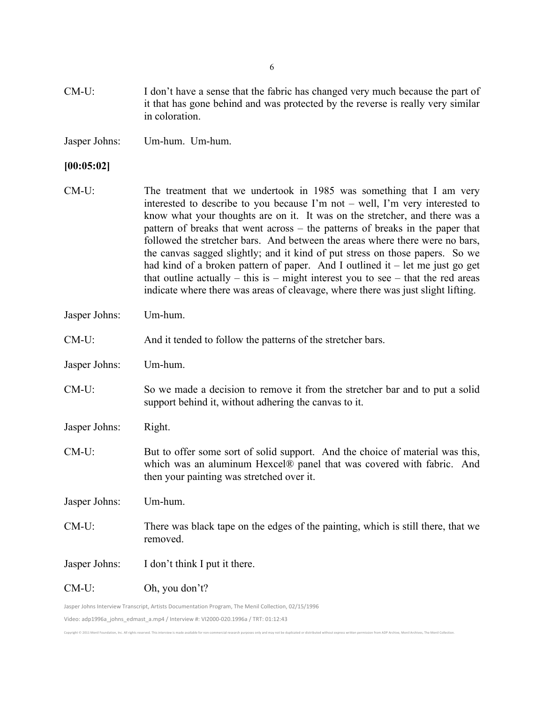- CM-U: I don't have a sense that the fabric has changed very much because the part of it that has gone behind and was protected by the reverse is really very similar in coloration.
- Jasper Johns: Um-hum. Um-hum.

#### **[00:05:02]**

- CM-U: The treatment that we undertook in 1985 was something that I am very interested to describe to you because I'm not – well, I'm very interested to know what your thoughts are on it. It was on the stretcher, and there was a pattern of breaks that went across – the patterns of breaks in the paper that followed the stretcher bars. And between the areas where there were no bars, the canvas sagged slightly; and it kind of put stress on those papers. So we had kind of a broken pattern of paper. And I outlined it  $-$  let me just go get that outline actually – this is – might interest you to see – that the red areas indicate where there was areas of cleavage, where there was just slight lifting.
- Jasper Johns: Um-hum.
- CM-U: And it tended to follow the patterns of the stretcher bars.
- Jasper Johns: Um-hum.
- CM-U: So we made a decision to remove it from the stretcher bar and to put a solid support behind it, without adhering the canvas to it.
- Jasper Johns: Right.
- CM-U: But to offer some sort of solid support. And the choice of material was this, which was an aluminum Hexcel® panel that was covered with fabric. And then your painting was stretched over it.

Jasper Johns: Um-hum.

CM-U: There was black tape on the edges of the painting, which is still there, that we removed.

Jasper Johns: I don't think I put it there.

CM-U: Oh, you don't?

Jasper Johns Interview Transcript, Artists Documentation Program, The Menil Collection, 02/15/1996

Video: adp1996a\_johns\_edmast\_a.mp4 / Interview #: VI2000-020.1996a / TRT: 01:12:43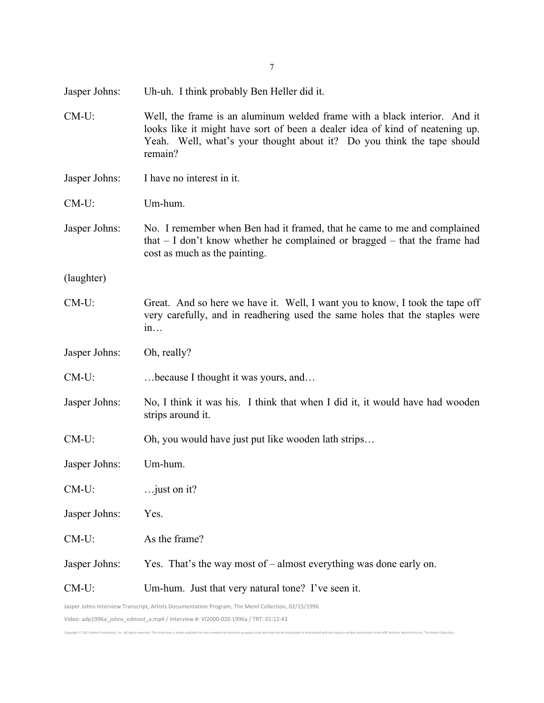| Jasper Johns: | Uh-uh. I think probably Ben Heller did it.                                                                                                                                                                                                     |
|---------------|------------------------------------------------------------------------------------------------------------------------------------------------------------------------------------------------------------------------------------------------|
| $CM-U$ :      | Well, the frame is an aluminum welded frame with a black interior. And it<br>looks like it might have sort of been a dealer idea of kind of neatening up.<br>Yeah. Well, what's your thought about it? Do you think the tape should<br>remain? |
| Jasper Johns: | I have no interest in it.                                                                                                                                                                                                                      |
| $CM-U$ :      | Um-hum.                                                                                                                                                                                                                                        |
| Jasper Johns: | No. I remember when Ben had it framed, that he came to me and complained<br>that $- I$ don't know whether he complained or bragged $-$ that the frame had<br>cost as much as the painting.                                                     |
| (laughter)    |                                                                                                                                                                                                                                                |
| $CM-U$ :      | Great. And so here we have it. Well, I want you to know, I took the tape off<br>very carefully, and in readhering used the same holes that the staples were<br>1n                                                                              |
| Jasper Johns: | Oh, really?                                                                                                                                                                                                                                    |
| $CM-U$ :      | because I thought it was yours, and                                                                                                                                                                                                            |
| Jasper Johns: | No, I think it was his. I think that when I did it, it would have had wooden<br>strips around it.                                                                                                                                              |
| $CM-U$ :      | Oh, you would have just put like wooden lath strips                                                                                                                                                                                            |
| Jasper Johns: | Um-hum.                                                                                                                                                                                                                                        |
| $CM-U$ :      | just on it?                                                                                                                                                                                                                                    |
| Jasper Johns: | Yes.                                                                                                                                                                                                                                           |
| $CM-U$ :      | As the frame?                                                                                                                                                                                                                                  |
| Jasper Johns: | Yes. That's the way most of $-$ almost everything was done early on.                                                                                                                                                                           |
| $CM-U$ :      | Um-hum. Just that very natural tone? I've seen it.                                                                                                                                                                                             |
|               | Jasper Johns Interview Transcript, Artists Documentation Program, The Menil Collection, 02/15/1996                                                                                                                                             |

7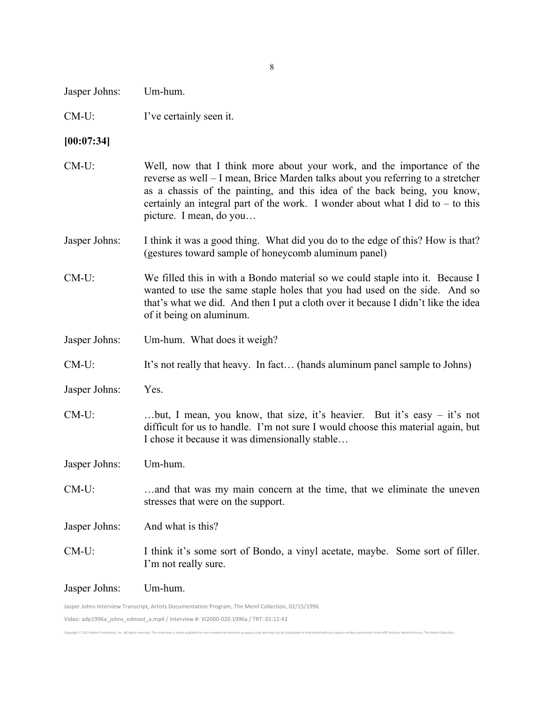| Jasper Johns: | Um-hum. |
|---------------|---------|
|---------------|---------|

CM-U: I've certainly seen it.

#### **[00:07:34]**

- CM-U: Well, now that I think more about your work, and the importance of the reverse as well – I mean, Brice Marden talks about you referring to a stretcher as a chassis of the painting, and this idea of the back being, you know, certainly an integral part of the work. I wonder about what I did to  $-$  to this picture. I mean, do you…
- Jasper Johns: I think it was a good thing. What did you do to the edge of this? How is that? (gestures toward sample of honeycomb aluminum panel)
- CM-U: We filled this in with a Bondo material so we could staple into it. Because I wanted to use the same staple holes that you had used on the side. And so that's what we did. And then I put a cloth over it because I didn't like the idea of it being on aluminum.
- Jasper Johns: Um-hum. What does it weigh?
- CM-U: It's not really that heavy. In fact… (hands aluminum panel sample to Johns)
- Jasper Johns: Yes.
- CM-U: …but, I mean, you know, that size, it's heavier. But it's easy it's not difficult for us to handle. I'm not sure I would choose this material again, but I chose it because it was dimensionally stable…

Jasper Johns: Um-hum.

- CM-U: …and that was my main concern at the time, that we eliminate the uneven stresses that were on the support.
- Jasper Johns: And what is this?
- CM-U: I think it's some sort of Bondo, a vinyl acetate, maybe. Some sort of filler. I'm not really sure.

Copyright © 2011 Menil Foundation, Inc. All rights reserved. This interview is made available for non-commercial research purposes only and may not be duplicated or distributed without express written permission from ADP A

Jasper Johns: Um-hum.

Jasper Johns Interview Transcript, Artists Documentation Program, The Menil Collection, 02/15/1996 Video: adp1996a\_johns\_edmast\_a.mp4 / Interview #: VI2000-020.1996a / TRT: 01:12:43

8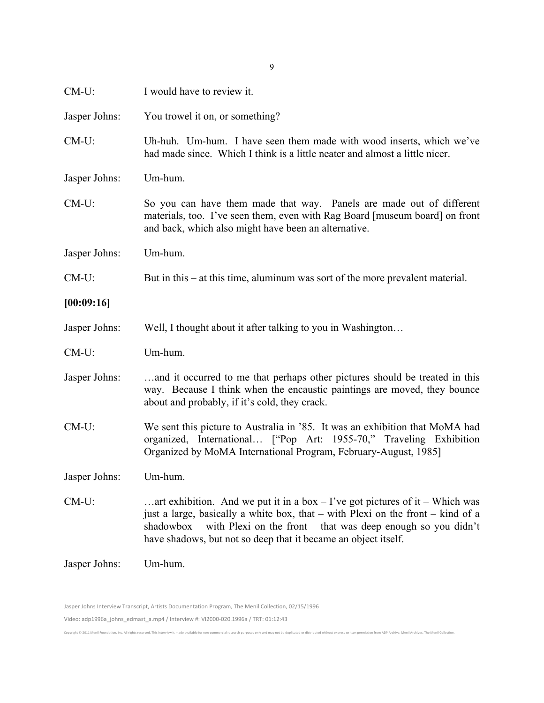| $CM-U$ :      | I would have to review it.                                                                                                                                                                                                                                                                                        |
|---------------|-------------------------------------------------------------------------------------------------------------------------------------------------------------------------------------------------------------------------------------------------------------------------------------------------------------------|
| Jasper Johns: | You trowel it on, or something?                                                                                                                                                                                                                                                                                   |
| $CM-U$ :      | Uh-huh. Um-hum. I have seen them made with wood inserts, which we've<br>had made since. Which I think is a little neater and almost a little nicer.                                                                                                                                                               |
| Jasper Johns: | Um-hum.                                                                                                                                                                                                                                                                                                           |
| $CM-U$ :      | So you can have them made that way. Panels are made out of different<br>materials, too. I've seen them, even with Rag Board [museum board] on front<br>and back, which also might have been an alternative.                                                                                                       |
| Jasper Johns: | Um-hum.                                                                                                                                                                                                                                                                                                           |
| $CM-U$ :      | But in this $-$ at this time, aluminum was sort of the more prevalent material.                                                                                                                                                                                                                                   |
| [00:09:16]    |                                                                                                                                                                                                                                                                                                                   |
| Jasper Johns: | Well, I thought about it after talking to you in Washington                                                                                                                                                                                                                                                       |
| $CM-U$ :      | Um-hum.                                                                                                                                                                                                                                                                                                           |
| Jasper Johns: | and it occurred to me that perhaps other pictures should be treated in this<br>way. Because I think when the encaustic paintings are moved, they bounce<br>about and probably, if it's cold, they crack.                                                                                                          |
| $CM-U$ :      | We sent this picture to Australia in '85. It was an exhibition that MoMA had<br>organized, International ["Pop Art: 1955-70," Traveling Exhibition<br>Organized by MoMA International Program, February-August, 1985]                                                                                             |
| Jasper Johns: | Um-hum.                                                                                                                                                                                                                                                                                                           |
| $CM-U$ :      | art exhibition. And we put it in a box $-$ I've got pictures of it $-$ Which was<br>just a large, basically a white box, that – with Plexi on the front – kind of a<br>shadowbox – with Plexi on the front – that was deep enough so you didn't<br>have shadows, but not so deep that it became an object itself. |
| Jasper Johns: | Um-hum.                                                                                                                                                                                                                                                                                                           |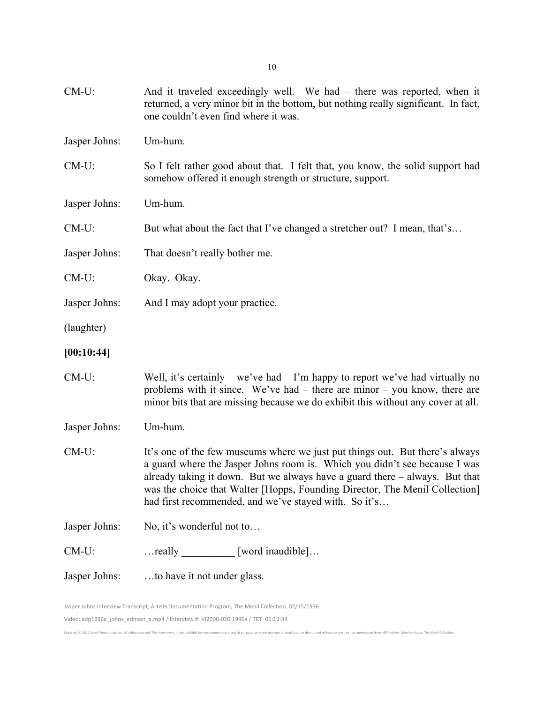| CM-U:         | And it traveled exceedingly well. We had $-$ there was reported, when it<br>returned, a very minor bit in the bottom, but nothing really significant. In fact,<br>one couldn't even find where it was.                                                                                                                                                                              |
|---------------|-------------------------------------------------------------------------------------------------------------------------------------------------------------------------------------------------------------------------------------------------------------------------------------------------------------------------------------------------------------------------------------|
| Jasper Johns: | Um-hum.                                                                                                                                                                                                                                                                                                                                                                             |
| $CM-U$ :      | So I felt rather good about that. I felt that, you know, the solid support had<br>somehow offered it enough strength or structure, support.                                                                                                                                                                                                                                         |
| Jasper Johns: | Um-hum.                                                                                                                                                                                                                                                                                                                                                                             |
| $CM-U$ :      | But what about the fact that I've changed a stretcher out? I mean, that's                                                                                                                                                                                                                                                                                                           |
| Jasper Johns: | That doesn't really bother me.                                                                                                                                                                                                                                                                                                                                                      |
| CM-U:         | Okay. Okay.                                                                                                                                                                                                                                                                                                                                                                         |
| Jasper Johns: | And I may adopt your practice.                                                                                                                                                                                                                                                                                                                                                      |
| (laughter)    |                                                                                                                                                                                                                                                                                                                                                                                     |
| [00:10:44]    |                                                                                                                                                                                                                                                                                                                                                                                     |
| $CM-U$ :      | Well, it's certainly – we've had – I'm happy to report we've had virtually no<br>problems with it since. We've had $-$ there are minor $-$ you know, there are<br>minor bits that are missing because we do exhibit this without any cover at all.                                                                                                                                  |
| Jasper Johns: | Um-hum.                                                                                                                                                                                                                                                                                                                                                                             |
| $CM-U$ :      | It's one of the few museums where we just put things out. But there's always<br>a guard where the Jasper Johns room is. Which you didn't see because I was<br>already taking it down. But we always have a guard there $-$ always. But that<br>was the choice that Walter [Hopps, Founding Director, The Menil Collection]<br>had first recommended, and we've stayed with. So it's |
| Jasper Johns: | No, it's wonderful not to                                                                                                                                                                                                                                                                                                                                                           |
| $CM-U$ :      | really ___________ [word inaudible]                                                                                                                                                                                                                                                                                                                                                 |
| Jasper Johns: | to have it not under glass.                                                                                                                                                                                                                                                                                                                                                         |

Copyright © 2011 Menil Foundation, Inc. All rights reserved. This interview is made available for non-commercial research purposes only and may not be duplicated or distributed without express written permission from ADP A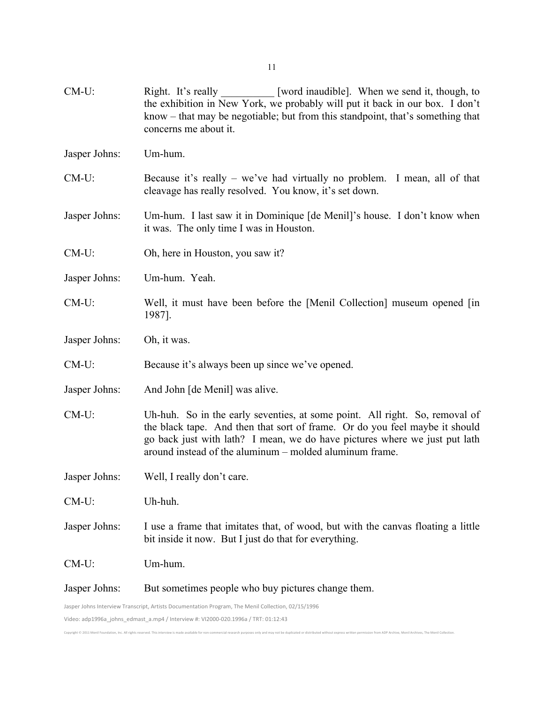| $CM-U$ :                                                                                           | [word inaudible]. When we send it, though, to<br>Right. It's really<br>the exhibition in New York, we probably will put it back in our box. I don't<br>know – that may be negotiable; but from this standpoint, that's something that<br>concerns me about it.                                      |
|----------------------------------------------------------------------------------------------------|-----------------------------------------------------------------------------------------------------------------------------------------------------------------------------------------------------------------------------------------------------------------------------------------------------|
| Jasper Johns:                                                                                      | Um-hum.                                                                                                                                                                                                                                                                                             |
| $CM-U$ :                                                                                           | Because it's really $-$ we've had virtually no problem. I mean, all of that<br>cleavage has really resolved. You know, it's set down.                                                                                                                                                               |
| Jasper Johns:                                                                                      | Um-hum. I last saw it in Dominique [de Menil]'s house. I don't know when<br>it was. The only time I was in Houston.                                                                                                                                                                                 |
| $CM-U$ :                                                                                           | Oh, here in Houston, you saw it?                                                                                                                                                                                                                                                                    |
| Jasper Johns:                                                                                      | Um-hum. Yeah.                                                                                                                                                                                                                                                                                       |
| $CM-U$ :                                                                                           | Well, it must have been before the [Menil Collection] museum opened [in]<br>1987].                                                                                                                                                                                                                  |
| Jasper Johns:                                                                                      | Oh, it was.                                                                                                                                                                                                                                                                                         |
| $CM-U$ :                                                                                           | Because it's always been up since we've opened.                                                                                                                                                                                                                                                     |
| Jasper Johns:                                                                                      | And John [de Menil] was alive.                                                                                                                                                                                                                                                                      |
| CM-U:                                                                                              | Uh-huh. So in the early seventies, at some point. All right. So, removal of<br>the black tape. And then that sort of frame. Or do you feel maybe it should<br>go back just with lath? I mean, we do have pictures where we just put lath<br>around instead of the aluminum – molded aluminum frame. |
| Jasper Johns:                                                                                      | Well, I really don't care.                                                                                                                                                                                                                                                                          |
| $CM-U$ :                                                                                           | Uh-huh.                                                                                                                                                                                                                                                                                             |
| Jasper Johns:                                                                                      | I use a frame that imitates that, of wood, but with the canvas floating a little<br>bit inside it now. But I just do that for everything.                                                                                                                                                           |
| $CM-U$ :                                                                                           | Um-hum.                                                                                                                                                                                                                                                                                             |
| Jasper Johns:                                                                                      | But sometimes people who buy pictures change them.                                                                                                                                                                                                                                                  |
| Jasper Johns Interview Transcript, Artists Documentation Program, The Menil Collection, 02/15/1996 |                                                                                                                                                                                                                                                                                                     |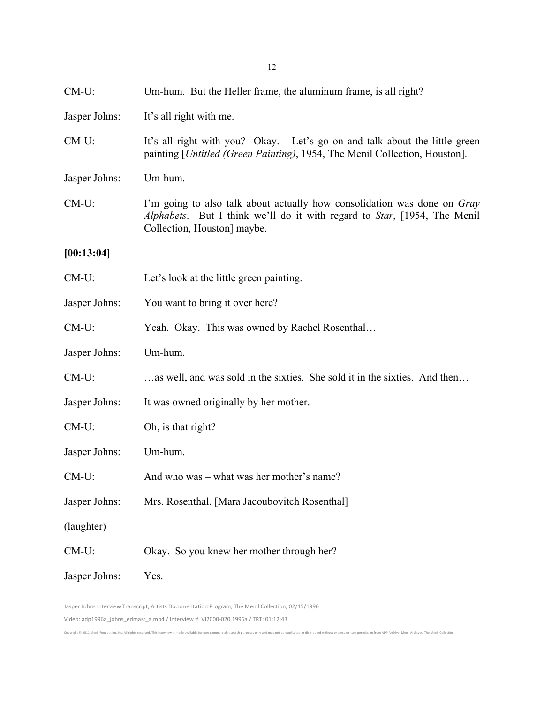| $CM-U$ :      | Um-hum. But the Heller frame, the aluminum frame, is all right?                                                                                                                                      |
|---------------|------------------------------------------------------------------------------------------------------------------------------------------------------------------------------------------------------|
| Jasper Johns: | It's all right with me.                                                                                                                                                                              |
| $CM-U$ :      | It's all right with you? Okay. Let's go on and talk about the little green<br>painting [Untitled (Green Painting), 1954, The Menil Collection, Houston].                                             |
| Jasper Johns: | Um-hum.                                                                                                                                                                                              |
| $CM-U$ :      | I'm going to also talk about actually how consolidation was done on Gray<br><i>Alphabets</i> . But I think we'll do it with regard to <i>Star</i> , [1954, The Menil]<br>Collection, Houston] maybe. |
| [00:13:04]    |                                                                                                                                                                                                      |
| $CM-U$ :      | Let's look at the little green painting.                                                                                                                                                             |
| Jasper Johns: | You want to bring it over here?                                                                                                                                                                      |
| $CM-U$ :      | Yeah. Okay. This was owned by Rachel Rosenthal                                                                                                                                                       |
| Jasper Johns: | Um-hum.                                                                                                                                                                                              |
| $CM-U$ :      | as well, and was sold in the sixties. She sold it in the sixties. And then                                                                                                                           |
| Jasper Johns: | It was owned originally by her mother.                                                                                                                                                               |
| CM-U:         | Oh, is that right?                                                                                                                                                                                   |
| Jasper Johns: | Um-hum.                                                                                                                                                                                              |
| CM-U:         | And who was – what was her mother's name?                                                                                                                                                            |
| Jasper Johns: | Mrs. Rosenthal. [Mara Jacoubovitch Rosenthal]                                                                                                                                                        |
| (laughter)    |                                                                                                                                                                                                      |
| CM-U:         | Okay. So you knew her mother through her?                                                                                                                                                            |
| Jasper Johns: | Yes.                                                                                                                                                                                                 |
|               |                                                                                                                                                                                                      |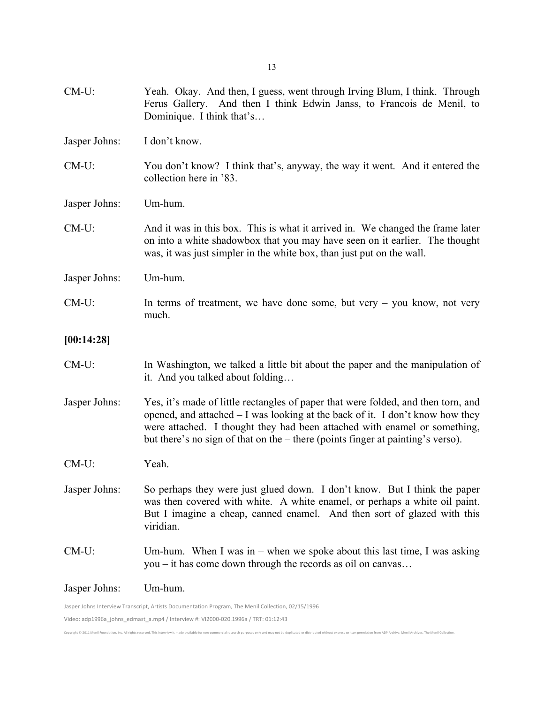| $CM-U$ :      | Yeah. Okay. And then, I guess, went through Irving Blum, I think. Through<br>Ferus Gallery. And then I think Edwin Janss, to Francois de Menil, to<br>Dominique. I think that's                                                                                                                                                    |
|---------------|------------------------------------------------------------------------------------------------------------------------------------------------------------------------------------------------------------------------------------------------------------------------------------------------------------------------------------|
| Jasper Johns: | I don't know.                                                                                                                                                                                                                                                                                                                      |
| $CM-U$ :      | You don't know? I think that's, anyway, the way it went. And it entered the<br>collection here in '83.                                                                                                                                                                                                                             |
| Jasper Johns: | Um-hum.                                                                                                                                                                                                                                                                                                                            |
| $CM-U$ :      | And it was in this box. This is what it arrived in. We changed the frame later<br>on into a white shadowbox that you may have seen on it earlier. The thought<br>was, it was just simpler in the white box, than just put on the wall.                                                                                             |
| Jasper Johns: | Um-hum.                                                                                                                                                                                                                                                                                                                            |
| $CM-U$ :      | In terms of treatment, we have done some, but very $-$ you know, not very<br>much.                                                                                                                                                                                                                                                 |
| [00:14:28]    |                                                                                                                                                                                                                                                                                                                                    |
| $CM-U$ :      | In Washington, we talked a little bit about the paper and the manipulation of<br>it. And you talked about folding                                                                                                                                                                                                                  |
| Jasper Johns: | Yes, it's made of little rectangles of paper that were folded, and then torn, and<br>opened, and attached - I was looking at the back of it. I don't know how they<br>were attached. I thought they had been attached with enamel or something,<br>but there's no sign of that on the – there (points finger at painting's verso). |
| $CM-U$ :      | Yeah.                                                                                                                                                                                                                                                                                                                              |
| Jasper Johns: | So perhaps they were just glued down. I don't know. But I think the paper<br>was then covered with white. A white enamel, or perhaps a white oil paint.<br>But I imagine a cheap, canned enamel. And then sort of glazed with this<br>viridian.                                                                                    |
| $CM-U$ :      | Um-hum. When I was in – when we spoke about this last time, I was asking<br>you – it has come down through the records as oil on canvas                                                                                                                                                                                            |
| Jasper Johns: | Um-hum.                                                                                                                                                                                                                                                                                                                            |
|               | Jasper Johns Interview Transcript, Artists Documentation Program, The Menil Collection, 02/15/1996                                                                                                                                                                                                                                 |

Copyright © 2011 Menil Foundation, Inc. All rights reserved. This interview is made available for non-commercial research purposes only and may not be duplicated or distributed without express written permission from ADP A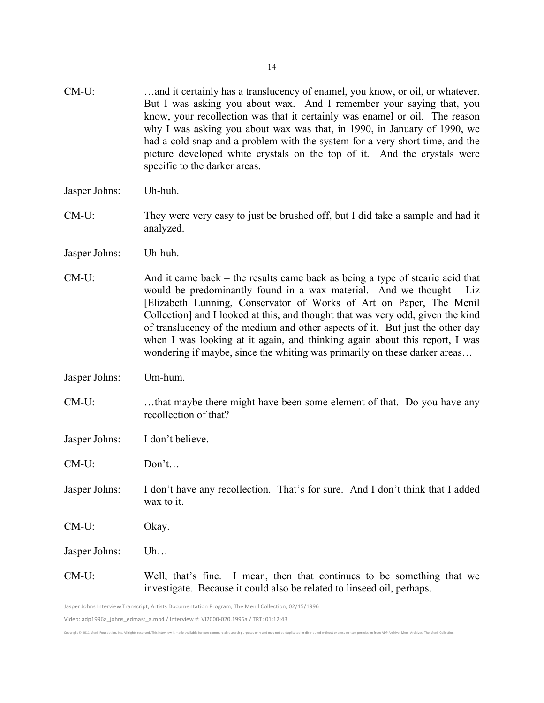| CM-U:         | and it certainly has a translucency of enamel, you know, or oil, or whatever.<br>But I was asking you about wax. And I remember your saying that, you<br>know, your recollection was that it certainly was enamel or oil. The reason<br>why I was asking you about wax was that, in 1990, in January of 1990, we<br>had a cold snap and a problem with the system for a very short time, and the<br>picture developed white crystals on the top of it. And the crystals were<br>specific to the darker areas.                                                  |
|---------------|----------------------------------------------------------------------------------------------------------------------------------------------------------------------------------------------------------------------------------------------------------------------------------------------------------------------------------------------------------------------------------------------------------------------------------------------------------------------------------------------------------------------------------------------------------------|
| Jasper Johns: | Uh-huh.                                                                                                                                                                                                                                                                                                                                                                                                                                                                                                                                                        |
| $CM-U$ :      | They were very easy to just be brushed off, but I did take a sample and had it<br>analyzed.                                                                                                                                                                                                                                                                                                                                                                                                                                                                    |
| Jasper Johns: | Uh-huh.                                                                                                                                                                                                                                                                                                                                                                                                                                                                                                                                                        |
| CM-U:         | And it came back – the results came back as being a type of stearic acid that<br>would be predominantly found in a wax material. And we thought $-$ Liz<br>[Elizabeth Lunning, Conservator of Works of Art on Paper, The Menil<br>Collection] and I looked at this, and thought that was very odd, given the kind<br>of translucency of the medium and other aspects of it. But just the other day<br>when I was looking at it again, and thinking again about this report, I was<br>wondering if maybe, since the whiting was primarily on these darker areas |
| Jasper Johns: | Um-hum.                                                                                                                                                                                                                                                                                                                                                                                                                                                                                                                                                        |
| $CM-U$ :      | that maybe there might have been some element of that. Do you have any<br>recollection of that?                                                                                                                                                                                                                                                                                                                                                                                                                                                                |
| Jasper Johns: | I don't believe.                                                                                                                                                                                                                                                                                                                                                                                                                                                                                                                                               |
| $CM-U$ :      | Don't                                                                                                                                                                                                                                                                                                                                                                                                                                                                                                                                                          |
| Jasper Johns: | I don't have any recollection. That's for sure. And I don't think that I added<br>wax to it.                                                                                                                                                                                                                                                                                                                                                                                                                                                                   |
| $CM-U$ :      | Okay.                                                                                                                                                                                                                                                                                                                                                                                                                                                                                                                                                          |
| Jasper Johns: | Uh                                                                                                                                                                                                                                                                                                                                                                                                                                                                                                                                                             |
| CM-U:         | Well, that's fine. I mean, then that continues to be something that we<br>investigate. Because it could also be related to linseed oil, perhaps.                                                                                                                                                                                                                                                                                                                                                                                                               |

Copyright © 2011 Menil Foundation, Inc. All rights reserved. This interview is made available for non-commercial research purposes only and may not be duplicated or distributed without express written permission from ADP A

Jasper Johns Interview Transcript, Artists Documentation Program, The Menil Collection, 02/15/1996

Video: adp1996a\_johns\_edmast\_a.mp4 / Interview #: VI2000-020.1996a / TRT: 01:12:43

14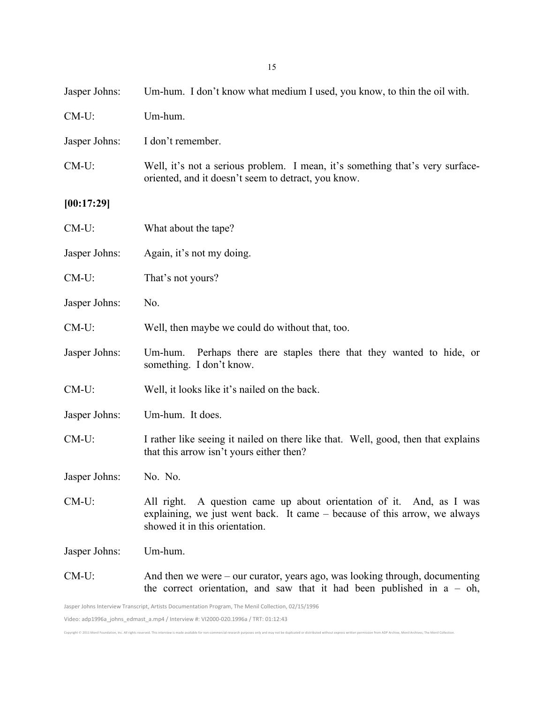| Jasper Johns:                                                                                      | Um-hum. I don't know what medium I used, you know, to thin the oil with.                                                                                                               |
|----------------------------------------------------------------------------------------------------|----------------------------------------------------------------------------------------------------------------------------------------------------------------------------------------|
| $CM-U$ :                                                                                           | Um-hum.                                                                                                                                                                                |
| Jasper Johns:                                                                                      | I don't remember.                                                                                                                                                                      |
| $CM-U$ :                                                                                           | Well, it's not a serious problem. I mean, it's something that's very surface-<br>oriented, and it doesn't seem to detract, you know.                                                   |
| [00:17:29]                                                                                         |                                                                                                                                                                                        |
| $CM-U$ :                                                                                           | What about the tape?                                                                                                                                                                   |
| Jasper Johns:                                                                                      | Again, it's not my doing.                                                                                                                                                              |
| CM-U:                                                                                              | That's not yours?                                                                                                                                                                      |
| Jasper Johns:                                                                                      | No.                                                                                                                                                                                    |
| $CM-U$ :                                                                                           | Well, then maybe we could do without that, too.                                                                                                                                        |
| Jasper Johns:                                                                                      | Perhaps there are staples there that they wanted to hide, or<br>Um-hum.<br>something. I don't know.                                                                                    |
| $CM-U$ :                                                                                           | Well, it looks like it's nailed on the back.                                                                                                                                           |
| Jasper Johns:                                                                                      | Um-hum. It does.                                                                                                                                                                       |
| $CM-U$ :                                                                                           | I rather like seeing it nailed on there like that. Well, good, then that explains<br>that this arrow isn't yours either then?                                                          |
| Jasper Johns:                                                                                      | No. No.                                                                                                                                                                                |
| $CM-U$ :                                                                                           | A question came up about orientation of it. And, as I was<br>All right.<br>explaining, we just went back. It came – because of this arrow, we always<br>showed it in this orientation. |
| Jasper Johns:                                                                                      | Um-hum.                                                                                                                                                                                |
| $CM-U$ :                                                                                           | And then we were $-$ our curator, years ago, was looking through, documenting<br>the correct orientation, and saw that it had been published in $a - oh$ ,                             |
| Jasper Johns Interview Transcript, Artists Documentation Program, The Menil Collection, 02/15/1996 |                                                                                                                                                                                        |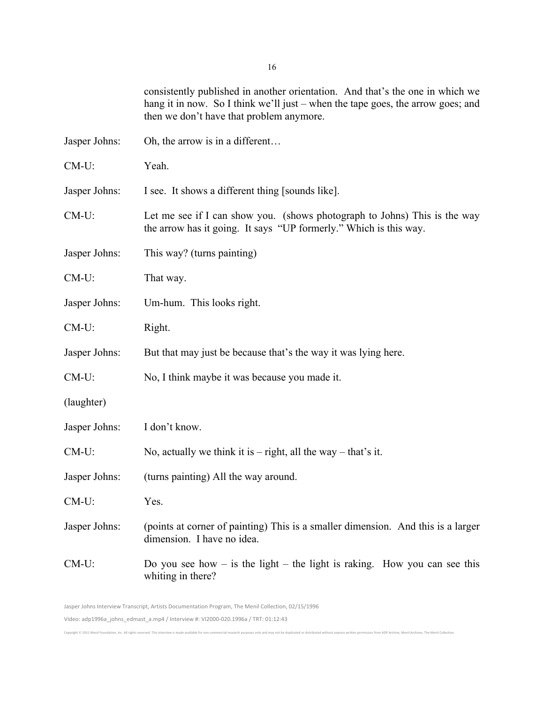consistently published in another orientation. And that's the one in which we hang it in now. So I think we'll just – when the tape goes, the arrow goes; and then we don't have that problem anymore.

Jasper Johns: Oh, the arrow is in a different… CM-U: Yeah. Jasper Johns: I see. It shows a different thing [sounds like]. CM-U: Let me see if I can show you. (shows photograph to Johns) This is the way the arrow has it going. It says "UP formerly." Which is this way. Jasper Johns: This way? (turns painting) CM-U: That way. Jasper Johns: Um-hum. This looks right. CM-U: Right. Jasper Johns: But that may just be because that's the way it was lying here. CM-U: No, I think maybe it was because you made it. (laughter) Jasper Johns: I don't know. CM-U: No, actually we think it is  $-$  right, all the way  $-$  that's it. Jasper Johns: (turns painting) All the way around. CM-U: Yes. Jasper Johns: (points at corner of painting) This is a smaller dimension. And this is a larger dimension. I have no idea.  $CM-U$ : Do you see how – is the light – the light is raking. How you can see this

Jasper Johns Interview Transcript, Artists Documentation Program, The Menil Collection, 02/15/1996 Video: adp1996a\_johns\_edmast\_a.mp4 / Interview #: VI2000-020.1996a / TRT: 01:12:43

whiting in there?

Convright @ 2011 Monil Foundation Inc. All rights reserved. This interview is made avail: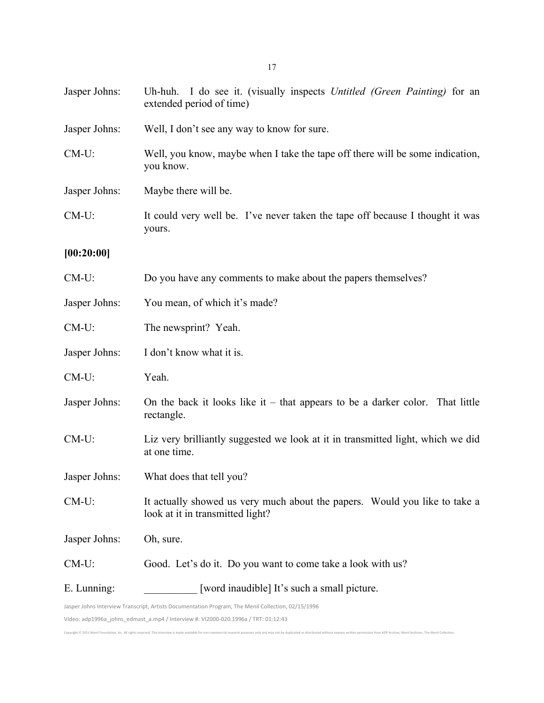| Jasper Johns: | Uh-huh. I do see it. (visually inspects Untitled (Green Painting) for an<br>extended period of time)           |
|---------------|----------------------------------------------------------------------------------------------------------------|
| Jasper Johns: | Well, I don't see any way to know for sure.                                                                    |
| $CM-U$ :      | Well, you know, maybe when I take the tape off there will be some indication,<br>you know.                     |
| Jasper Johns: | Maybe there will be.                                                                                           |
| $CM-U$ :      | It could very well be. I've never taken the tape off because I thought it was<br>yours.                        |
| [00:20:00]    |                                                                                                                |
| $CM-U$ :      | Do you have any comments to make about the papers themselves?                                                  |
| Jasper Johns: | You mean, of which it's made?                                                                                  |
| CM-U:         | The newsprint? Yeah.                                                                                           |
| Jasper Johns: | I don't know what it is.                                                                                       |
| $CM-U$ :      | Yeah.                                                                                                          |
| Jasper Johns: | On the back it looks like it $-$ that appears to be a darker color. That little<br>rectangle.                  |
| CM-U:         | Liz very brilliantly suggested we look at it in transmitted light, which we did<br>at one time.                |
| Jasper Johns: | What does that tell you?                                                                                       |
| $CM-U$ :      | It actually showed us very much about the papers. Would you like to take a<br>look at it in transmitted light? |
| Jasper Johns: | Oh, sure.                                                                                                      |
| CM-U:         | Good. Let's do it. Do you want to come take a look with us?                                                    |
| E. Lunning:   | [word inaudible] It's such a small picture.                                                                    |
|               | Jasper Johns Interview Transcript, Artists Documentation Program, The Menil Collection, 02/15/1996             |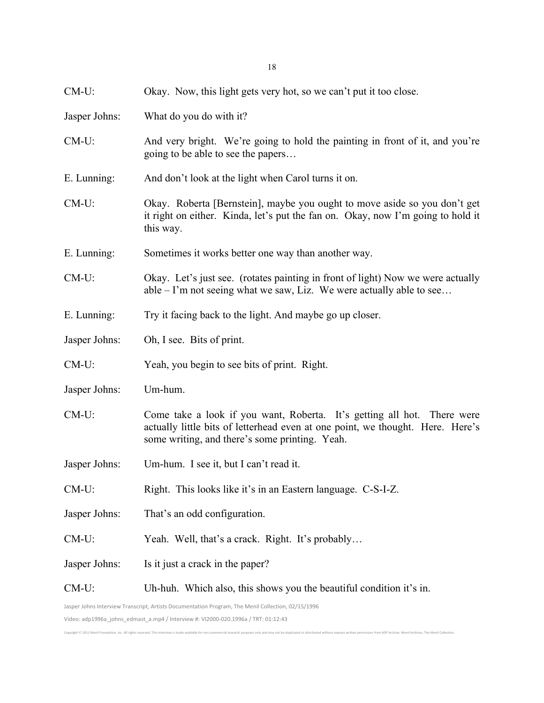| $CM-U$ :      | Okay. Now, this light gets very hot, so we can't put it too close.                                                                                                                                          |
|---------------|-------------------------------------------------------------------------------------------------------------------------------------------------------------------------------------------------------------|
| Jasper Johns: | What do you do with it?                                                                                                                                                                                     |
| $CM-U$ :      | And very bright. We're going to hold the painting in front of it, and you're<br>going to be able to see the papers                                                                                          |
| E. Lunning:   | And don't look at the light when Carol turns it on.                                                                                                                                                         |
| $CM-U$ :      | Okay. Roberta [Bernstein], maybe you ought to move aside so you don't get<br>it right on either. Kinda, let's put the fan on. Okay, now I'm going to hold it<br>this way.                                   |
| E. Lunning:   | Sometimes it works better one way than another way.                                                                                                                                                         |
| $CM-U$ :      | Okay. Let's just see. (rotates painting in front of light) Now we were actually<br>$able - I'm$ not seeing what we saw, Liz. We were actually able to see                                                   |
| E. Lunning:   | Try it facing back to the light. And maybe go up closer.                                                                                                                                                    |
| Jasper Johns: | Oh, I see. Bits of print.                                                                                                                                                                                   |
| $CM-U$ :      | Yeah, you begin to see bits of print. Right.                                                                                                                                                                |
| Jasper Johns: | Um-hum.                                                                                                                                                                                                     |
| $CM-U$ :      | Come take a look if you want, Roberta. It's getting all hot. There were<br>actually little bits of letterhead even at one point, we thought. Here. Here's<br>some writing, and there's some printing. Yeah. |
| Jasper Johns: | Um-hum. I see it, but I can't read it.                                                                                                                                                                      |
| $CM-U$ :      | Right. This looks like it's in an Eastern language. C-S-I-Z.                                                                                                                                                |
| Jasper Johns: | That's an odd configuration.                                                                                                                                                                                |
| CM-U:         | Yeah. Well, that's a crack. Right. It's probably                                                                                                                                                            |
| Jasper Johns: | Is it just a crack in the paper?                                                                                                                                                                            |
| CM-U:         | Uh-huh. Which also, this shows you the beautiful condition it's in.                                                                                                                                         |
|               | Jasper Johns Interview Transcript, Artists Documentation Program, The Menil Collection, 02/15/1996                                                                                                          |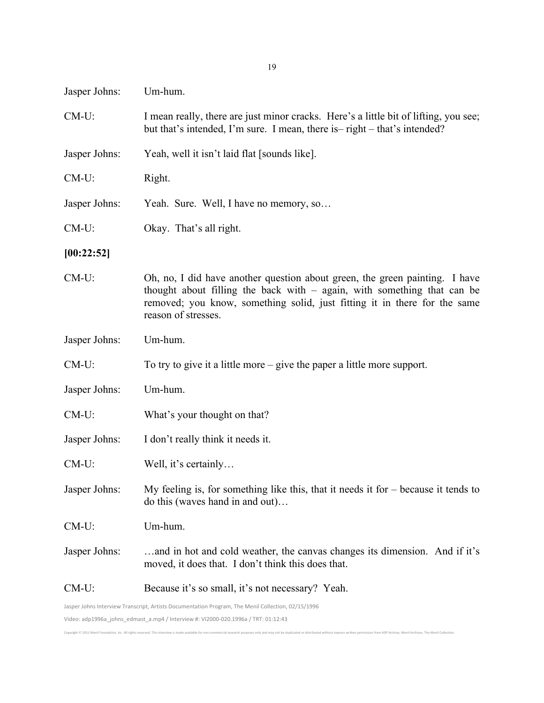| Jasper Johns: | Um-hum.                                                                                                                                                                                                                                                      |
|---------------|--------------------------------------------------------------------------------------------------------------------------------------------------------------------------------------------------------------------------------------------------------------|
| $CM-U$ :      | I mean really, there are just minor cracks. Here's a little bit of lifting, you see;<br>but that's intended, I'm sure. I mean, there is - right - that's intended?                                                                                           |
| Jasper Johns: | Yeah, well it isn't laid flat [sounds like].                                                                                                                                                                                                                 |
| $CM-U$ :      | Right.                                                                                                                                                                                                                                                       |
| Jasper Johns: | Yeah. Sure. Well, I have no memory, so                                                                                                                                                                                                                       |
| $CM-U$ :      | Okay. That's all right.                                                                                                                                                                                                                                      |
| [00:22:52]    |                                                                                                                                                                                                                                                              |
| $CM-U$ :      | Oh, no, I did have another question about green, the green painting. I have<br>thought about filling the back with $-$ again, with something that can be<br>removed; you know, something solid, just fitting it in there for the same<br>reason of stresses. |
| Jasper Johns: | Um-hum.                                                                                                                                                                                                                                                      |
| $CM-U$ :      | To try to give it a little more $-$ give the paper a little more support.                                                                                                                                                                                    |
| Jasper Johns: | Um-hum.                                                                                                                                                                                                                                                      |
| $CM-U$ :      | What's your thought on that?                                                                                                                                                                                                                                 |
| Jasper Johns: | I don't really think it needs it.                                                                                                                                                                                                                            |
| $CM-U$ :      | Well, it's certainly                                                                                                                                                                                                                                         |
| Jasper Johns: | My feeling is, for something like this, that it needs it for $-$ because it tends to<br>do this (waves hand in and out)                                                                                                                                      |
| $CM-U$ :      | Um-hum.                                                                                                                                                                                                                                                      |
| Jasper Johns: | and in hot and cold weather, the canvas changes its dimension. And if it's<br>moved, it does that. I don't think this does that.                                                                                                                             |
| $CM-U$ :      | Because it's so small, it's not necessary? Yeah.                                                                                                                                                                                                             |
|               | Jasper Johns Interview Transcript, Artists Documentation Program, The Menil Collection, 02/15/1996                                                                                                                                                           |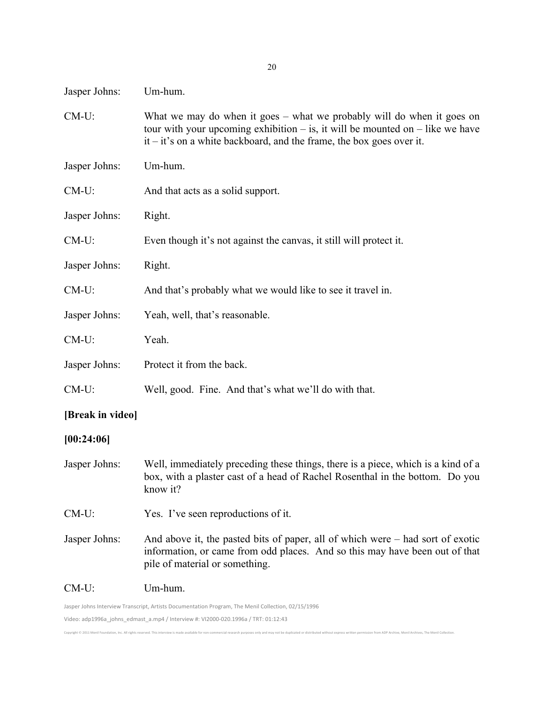| Jasper Johns: | Um-hum. |
|---------------|---------|
|---------------|---------|

- CM-U: What we may do when it goes what we probably will do when it goes on tour with your upcoming exhibition  $-$  is, it will be mounted on  $-$  like we have it – it's on a white backboard, and the frame, the box goes over it.
- Jasper Johns: Um-hum.
- CM-U: And that acts as a solid support.
- Jasper Johns: Right.
- CM-U: Even though it's not against the canvas, it still will protect it.
- Jasper Johns: Right.
- CM-U: And that's probably what we would like to see it travel in.
- Jasper Johns: Yeah, well, that's reasonable.
- CM-U: Yeah.
- Jasper Johns: Protect it from the back.
- CM-U: Well, good. Fine. And that's what we'll do with that.

## **[Break in video]**

#### **[00:24:06]**

- Jasper Johns: Well, immediately preceding these things, there is a piece, which is a kind of a box, with a plaster cast of a head of Rachel Rosenthal in the bottom. Do you know it?
- CM-U: Yes. I've seen reproductions of it.
- Jasper Johns: And above it, the pasted bits of paper, all of which were had sort of exotic information, or came from odd places. And so this may have been out of that pile of material or something.

#### CM-U: Um-hum.

Convright @ 2011 Menil Foundation Inc. All rights reserved. This interview is made a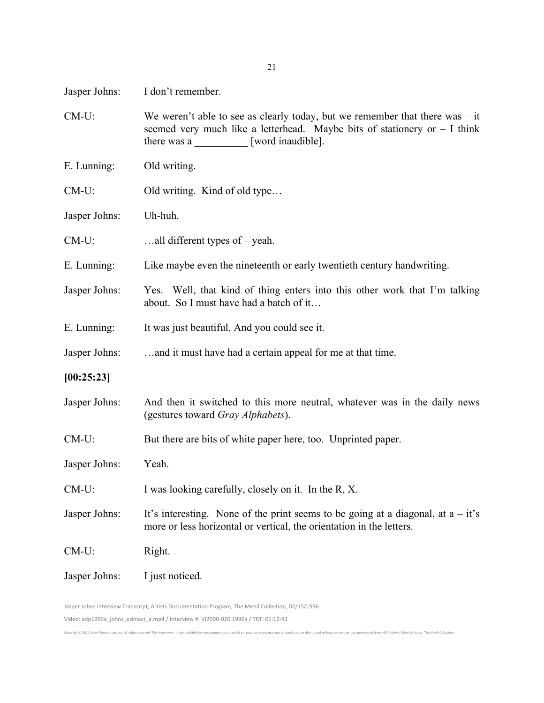Jasper Johns: I don't remember.

CM-U: We weren't able to see as clearly today, but we remember that there was – it seemed very much like a letterhead. Maybe bits of stationery or  $-1$  think there was a \_\_\_\_\_\_\_\_\_\_ [word inaudible].

E. Lunning: Old writing.

CM-U: Old writing. Kind of old type...

Jasper Johns: Uh-huh.

CM-U: …all different types of – yeah.

E. Lunning: Like maybe even the nineteenth or early twentieth century handwriting.

Jasper Johns: Yes. Well, that kind of thing enters into this other work that I'm talking about. So I must have had a batch of it…

E. Lunning: It was just beautiful. And you could see it.

Jasper Johns: …and it must have had a certain appeal for me at that time.

**[00:25:23]**

- Jasper Johns: And then it switched to this more neutral, whatever was in the daily news (gestures toward *Gray Alphabets*).
- CM-U: But there are bits of white paper here, too. Unprinted paper.

Jasper Johns: Yeah.

CM-U: I was looking carefully, closely on it. In the R, X.

Jasper Johns: It's interesting. None of the print seems to be going at a diagonal, at  $a - it$ 's more or less horizontal or vertical, the orientation in the letters.

Convright @ 2011 Mapil Foundation Inc. All rights received. This intension is made available for non-commercial recearch purposes only and may not be duplicated or distributed without everyess written permission from ADD A

CM-U: Right.

Jasper Johns: I just noticed.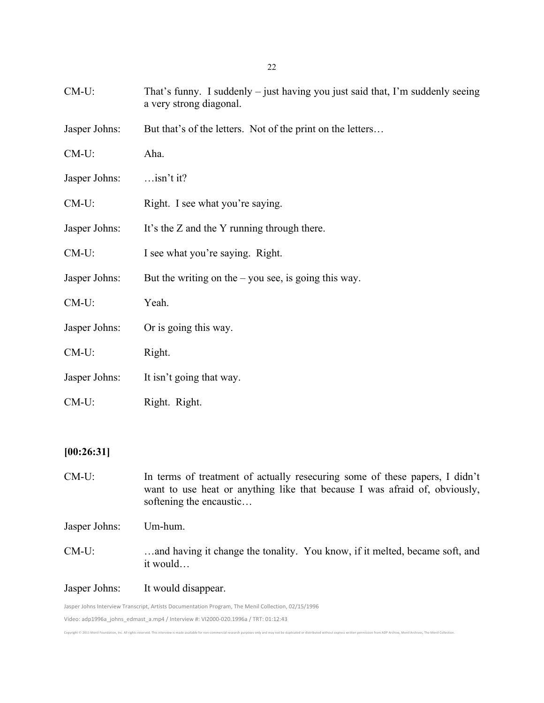| $CM-U$ :      | That's funny. I suddenly – just having you just said that, I'm suddenly seeing<br>a very strong diagonal. |
|---------------|-----------------------------------------------------------------------------------------------------------|
| Jasper Johns: | But that's of the letters. Not of the print on the letters                                                |
| $CM-U$ :      | Aha.                                                                                                      |
| Jasper Johns: | $$ isn't it?                                                                                              |
| $CM-U$ :      | Right. I see what you're saying.                                                                          |
| Jasper Johns: | It's the Z and the Y running through there.                                                               |
| $CM-U$ :      | I see what you're saying. Right.                                                                          |
| Jasper Johns: | But the writing on the $-$ you see, is going this way.                                                    |
| $CM-U$ :      | Yeah.                                                                                                     |
| Jasper Johns: | Or is going this way.                                                                                     |
| $CM-U$ :      | Right.                                                                                                    |
| Jasper Johns: | It isn't going that way.                                                                                  |
| $CM-U$ :      | Right. Right.                                                                                             |
|               |                                                                                                           |

## **[00:26:31]**

CM-U: In terms of treatment of actually resecuring some of these papers, I didn't want to use heat or anything like that because I was afraid of, obviously, softening the encaustic… Jasper Johns: Um-hum. CM-U: …and having it change the tonality. You know, if it melted, became soft, and it would… Jasper Johns: It would disappear.

Copyright © 2011 Menil Foundation, Inc. All rights reserved. This interview is made available for non-commercial research purposes only and may not be duplicated or distributed without express written permission from ADP A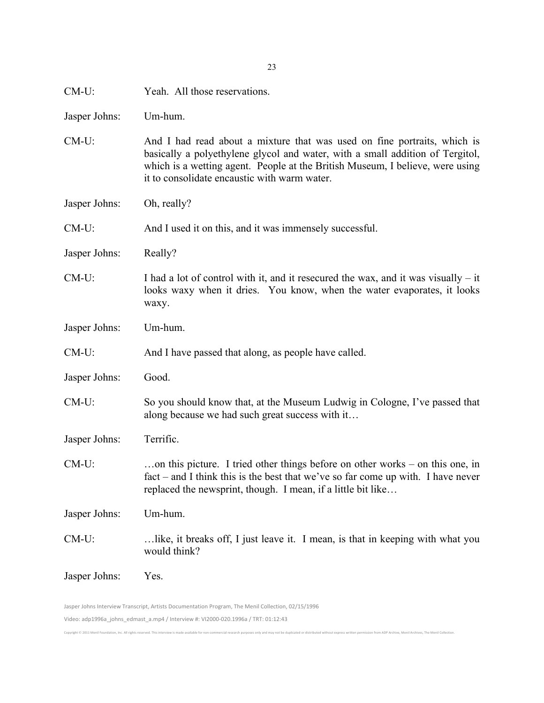| $CM-U$ :      | Yeah. All those reservations.                                                                                                                                                                                                                                                              |
|---------------|--------------------------------------------------------------------------------------------------------------------------------------------------------------------------------------------------------------------------------------------------------------------------------------------|
| Jasper Johns: | Um-hum.                                                                                                                                                                                                                                                                                    |
| $CM-U$ :      | And I had read about a mixture that was used on fine portraits, which is<br>basically a polyethylene glycol and water, with a small addition of Tergitol,<br>which is a wetting agent. People at the British Museum, I believe, were using<br>it to consolidate encaustic with warm water. |
| Jasper Johns: | Oh, really?                                                                                                                                                                                                                                                                                |
| CM-U:         | And I used it on this, and it was immensely successful.                                                                                                                                                                                                                                    |
| Jasper Johns: | Really?                                                                                                                                                                                                                                                                                    |
| $CM-U$ :      | I had a lot of control with it, and it resecured the wax, and it was visually $-$ it<br>looks waxy when it dries. You know, when the water evaporates, it looks<br>waxy.                                                                                                                   |
| Jasper Johns: | Um-hum.                                                                                                                                                                                                                                                                                    |
| $CM-U$ :      | And I have passed that along, as people have called.                                                                                                                                                                                                                                       |
| Jasper Johns: | Good.                                                                                                                                                                                                                                                                                      |
| $CM-U$ :      | So you should know that, at the Museum Ludwig in Cologne, I've passed that<br>along because we had such great success with it                                                                                                                                                              |
| Jasper Johns: | Terrific.                                                                                                                                                                                                                                                                                  |
| $CM-U$ :      | on this picture. I tried other things before on other works – on this one, in<br>$fact$ – and I think this is the best that we've so far come up with. I have never<br>replaced the newsprint, though. I mean, if a little bit like                                                        |
| Jasper Johns: | Um-hum.                                                                                                                                                                                                                                                                                    |
| $CM-U$ :      | like, it breaks off, I just leave it. I mean, is that in keeping with what you<br>would think?                                                                                                                                                                                             |
|               |                                                                                                                                                                                                                                                                                            |

23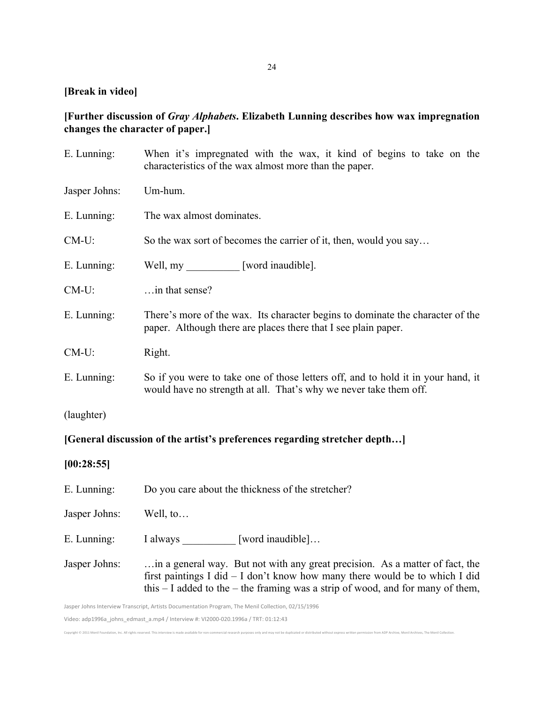#### **[Break in video]**

## **[Further discussion of** *Gray Alphabets***. Elizabeth Lunning describes how wax impregnation changes the character of paper.]**

| E. Lunning:                                                                | When it's impregnated with the wax, it kind of begins to take on the<br>characteristics of the wax almost more than the paper.                        |
|----------------------------------------------------------------------------|-------------------------------------------------------------------------------------------------------------------------------------------------------|
| Jasper Johns:                                                              | Um-hum.                                                                                                                                               |
| E. Lunning:                                                                | The wax almost dominates.                                                                                                                             |
| $CM-U$ :                                                                   | So the wax sort of becomes the carrier of it, then, would you say                                                                                     |
| E. Lunning:                                                                | Well, my [word inaudible].                                                                                                                            |
| $CM-U$ :                                                                   | in that sense?                                                                                                                                        |
| E. Lunning:                                                                | There's more of the wax. Its character begins to dominate the character of the<br>paper. Although there are places there that I see plain paper.      |
| $CM-U$ :                                                                   | Right.                                                                                                                                                |
| E. Lunning:                                                                | So if you were to take one of those letters off, and to hold it in your hand, it<br>would have no strength at all. That's why we never take them off. |
| (laughter)                                                                 |                                                                                                                                                       |
| [General discussion of the artist's preferences regarding stretcher depth] |                                                                                                                                                       |
| [00:28:55]                                                                 |                                                                                                                                                       |
| E. Lunning:                                                                | Do you care about the thickness of the stretcher?                                                                                                     |

Jasper Johns: Well, to…

E. Lunning: I always \_\_\_\_\_\_\_\_ [word inaudible]...

Jasper Johns: …in a general way. But not with any great precision. As a matter of fact, the first paintings I did – I don't know how many there would be to which I did this – I added to the – the framing was a strip of wood, and for many of them,

Jasper Johns Interview Transcript, Artists Documentation Program, The Menil Collection, 02/15/1996

Video: adp1996a\_johns\_edmast\_a.mp4 / Interview #: VI2000-020.1996a / TRT: 01:12:43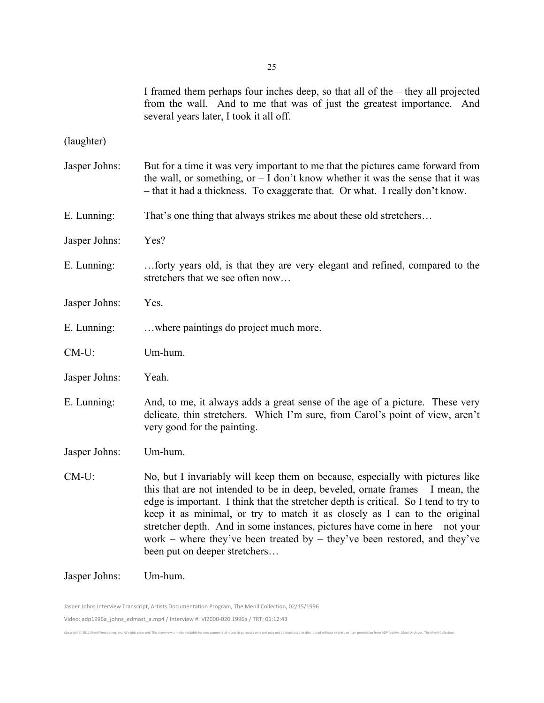I framed them perhaps four inches deep, so that all of the – they all projected from the wall. And to me that was of just the greatest importance. And several years later, I took it all off.

(laughter)

Jasper Johns: But for a time it was very important to me that the pictures came forward from the wall, or something, or  $-1$  don't know whether it was the sense that it was – that it had a thickness. To exaggerate that. Or what. I really don't know. E. Lunning: That's one thing that always strikes me about these old stretchers… Jasper Johns: Yes? E. Lunning: …forty years old, is that they are very elegant and refined, compared to the stretchers that we see often now… Jasper Johns: Yes. E. Lunning: …where paintings do project much more. CM-U: Um-hum. Jasper Johns: Yeah. E. Lunning: And, to me, it always adds a great sense of the age of a picture. These very delicate, thin stretchers. Which I'm sure, from Carol's point of view, aren't very good for the painting. Jasper Johns: Um-hum. CM-U: No, but I invariably will keep them on because, especially with pictures like this that are not intended to be in deep, beveled, ornate frames – I mean, the edge is important. I think that the stretcher depth is critical. So I tend to try to keep it as minimal, or try to match it as closely as I can to the original stretcher depth. And in some instances, pictures have come in here – not your work – where they've been treated by – they've been restored, and they've

Jasper Johns: Um-hum.

Jasper Johns Interview Transcript, Artists Documentation Program, The Menil Collection, 02/15/1996 Video: adp1996a\_johns\_edmast\_a.mp4 / Interview #: VI2000-020.1996a / TRT: 01:12:43 Copyright © 2011 Menil Foundation, Inc. All rights reserved. This interview is made available for non-commercial research purposes only and may not be duplicated or distributed without express written permission from ADP A

been put on deeper stretchers…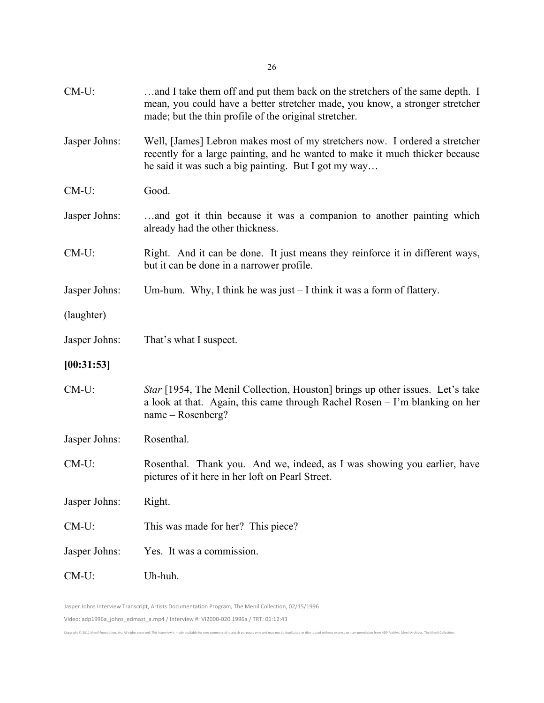| $CM-U$ :      | and I take them off and put them back on the stretchers of the same depth. I<br>mean, you could have a better stretcher made, you know, a stronger stretcher<br>made; but the thin profile of the original stretcher. |
|---------------|-----------------------------------------------------------------------------------------------------------------------------------------------------------------------------------------------------------------------|
| Jasper Johns: | Well, [James] Lebron makes most of my stretchers now. I ordered a stretcher<br>recently for a large painting, and he wanted to make it much thicker because<br>he said it was such a big painting. But I got my way   |
| $CM-U$ :      | Good.                                                                                                                                                                                                                 |
| Jasper Johns: | and got it thin because it was a companion to another painting which<br>already had the other thickness.                                                                                                              |
| $CM-U$ :      | Right. And it can be done. It just means they reinforce it in different ways,<br>but it can be done in a narrower profile.                                                                                            |
| Jasper Johns: | Um-hum. Why, I think he was just $-$ I think it was a form of flattery.                                                                                                                                               |
| (laughter)    |                                                                                                                                                                                                                       |
| Jasper Johns: | That's what I suspect.                                                                                                                                                                                                |
| [00:31:53]    |                                                                                                                                                                                                                       |
| $CM-U$ :      | Star [1954, The Menil Collection, Houston] brings up other issues. Let's take<br>a look at that. Again, this came through Rachel Rosen – I'm blanking on her<br>$name - Rosenberg?$                                   |
| Jasper Johns: | Rosenthal.                                                                                                                                                                                                            |
| $CM-U$ :      | Rosenthal. Thank you. And we, indeed, as I was showing you earlier, have<br>pictures of it here in her loft on Pearl Street.                                                                                          |
| Jasper Johns: | Right.                                                                                                                                                                                                                |
| CM-U:         | This was made for her? This piece?                                                                                                                                                                                    |
| Jasper Johns: | Yes. It was a commission.                                                                                                                                                                                             |
| $CM-U$ :      | Uh-huh.                                                                                                                                                                                                               |
|               |                                                                                                                                                                                                                       |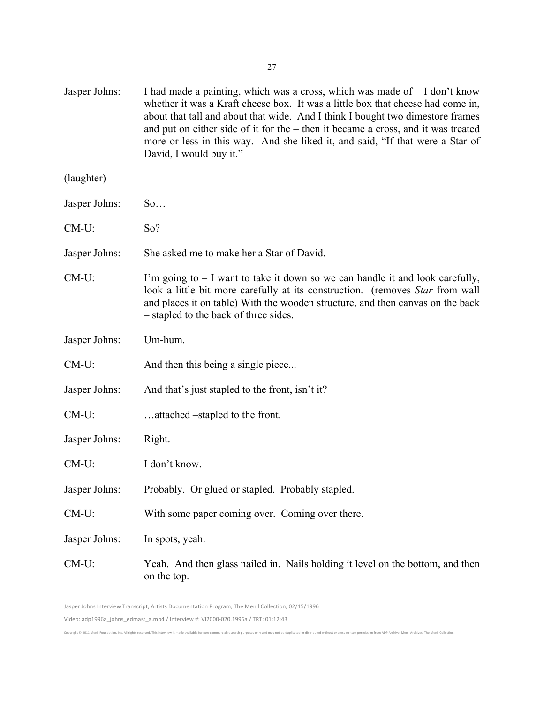| Jasper Johns: | I had made a painting, which was a cross, which was made of $-1$ don't know<br>whether it was a Kraft cheese box. It was a little box that cheese had come in,<br>about that tall and about that wide. And I think I bought two dimestore frames<br>and put on either side of it for the $-$ then it became a cross, and it was treated<br>more or less in this way. And she liked it, and said, "If that were a Star of<br>David, I would buy it." |
|---------------|-----------------------------------------------------------------------------------------------------------------------------------------------------------------------------------------------------------------------------------------------------------------------------------------------------------------------------------------------------------------------------------------------------------------------------------------------------|
| (laughter)    |                                                                                                                                                                                                                                                                                                                                                                                                                                                     |
| Jasper Johns: | So                                                                                                                                                                                                                                                                                                                                                                                                                                                  |
| $CM-U$ :      | So?                                                                                                                                                                                                                                                                                                                                                                                                                                                 |
| Jasper Johns: | She asked me to make her a Star of David.                                                                                                                                                                                                                                                                                                                                                                                                           |
| $CM-U$ :      | I'm going to $-1$ want to take it down so we can handle it and look carefully,<br>look a little bit more carefully at its construction. (removes Star from wall<br>and places it on table) With the wooden structure, and then canvas on the back<br>- stapled to the back of three sides.                                                                                                                                                          |
| Jasper Johns: | Um-hum.                                                                                                                                                                                                                                                                                                                                                                                                                                             |
| $CM-U$ :      | And then this being a single piece                                                                                                                                                                                                                                                                                                                                                                                                                  |
| Jasper Johns: | And that's just stapled to the front, isn't it?                                                                                                                                                                                                                                                                                                                                                                                                     |
| $CM-U$ :      | attached –stapled to the front.                                                                                                                                                                                                                                                                                                                                                                                                                     |
| Jasper Johns: | Right.                                                                                                                                                                                                                                                                                                                                                                                                                                              |
| $CM-U$ :      | I don't know.                                                                                                                                                                                                                                                                                                                                                                                                                                       |
| Jasper Johns: | Probably. Or glued or stapled. Probably stapled.                                                                                                                                                                                                                                                                                                                                                                                                    |
| $CM-U$ :      | With some paper coming over. Coming over there.                                                                                                                                                                                                                                                                                                                                                                                                     |
| Jasper Johns: | In spots, yeah.                                                                                                                                                                                                                                                                                                                                                                                                                                     |
| $CM-U$ :      | Yeah. And then glass nailed in. Nails holding it level on the bottom, and then<br>on the top.                                                                                                                                                                                                                                                                                                                                                       |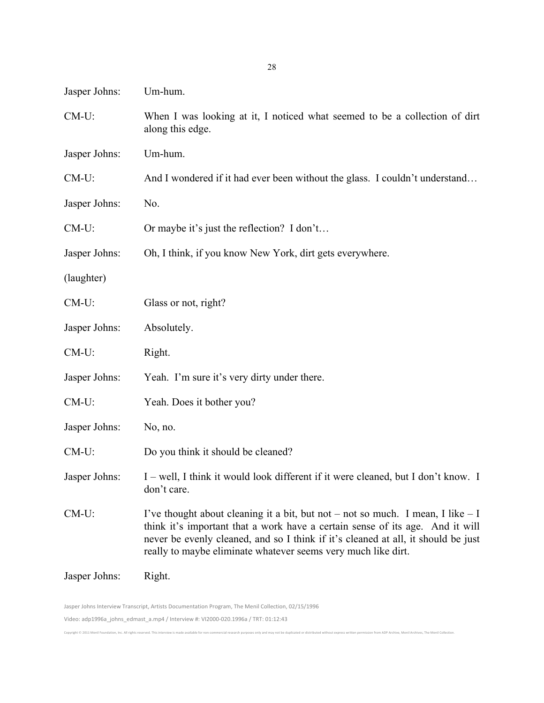| Jasper Johns: | Um-hum.                                                                                                                                                                                                                                                                                                                |
|---------------|------------------------------------------------------------------------------------------------------------------------------------------------------------------------------------------------------------------------------------------------------------------------------------------------------------------------|
| CM-U:         | When I was looking at it, I noticed what seemed to be a collection of dirt<br>along this edge.                                                                                                                                                                                                                         |
| Jasper Johns: | Um-hum.                                                                                                                                                                                                                                                                                                                |
| $CM-U$ :      | And I wondered if it had ever been without the glass. I couldn't understand                                                                                                                                                                                                                                            |
| Jasper Johns: | No.                                                                                                                                                                                                                                                                                                                    |
| CM-U:         | Or maybe it's just the reflection? I don't                                                                                                                                                                                                                                                                             |
| Jasper Johns: | Oh, I think, if you know New York, dirt gets everywhere.                                                                                                                                                                                                                                                               |
| (laughter)    |                                                                                                                                                                                                                                                                                                                        |
| CM-U:         | Glass or not, right?                                                                                                                                                                                                                                                                                                   |
| Jasper Johns: | Absolutely.                                                                                                                                                                                                                                                                                                            |
| $CM-U$ :      | Right.                                                                                                                                                                                                                                                                                                                 |
| Jasper Johns: | Yeah. I'm sure it's very dirty under there.                                                                                                                                                                                                                                                                            |
| $CM-U$ :      | Yeah. Does it bother you?                                                                                                                                                                                                                                                                                              |
| Jasper Johns: | No, no.                                                                                                                                                                                                                                                                                                                |
| $CM-U$ :      | Do you think it should be cleaned?                                                                                                                                                                                                                                                                                     |
| Jasper Johns: | I – well, I think it would look different if it were cleaned, but I don't know. I<br>don't care.                                                                                                                                                                                                                       |
| $CM-U$ :      | I've thought about cleaning it a bit, but not – not so much. I mean, I like – I<br>think it's important that a work have a certain sense of its age. And it will<br>never be evenly cleaned, and so I think if it's cleaned at all, it should be just<br>really to maybe eliminate whatever seems very much like dirt. |
| Jasper Johns: | Right.                                                                                                                                                                                                                                                                                                                 |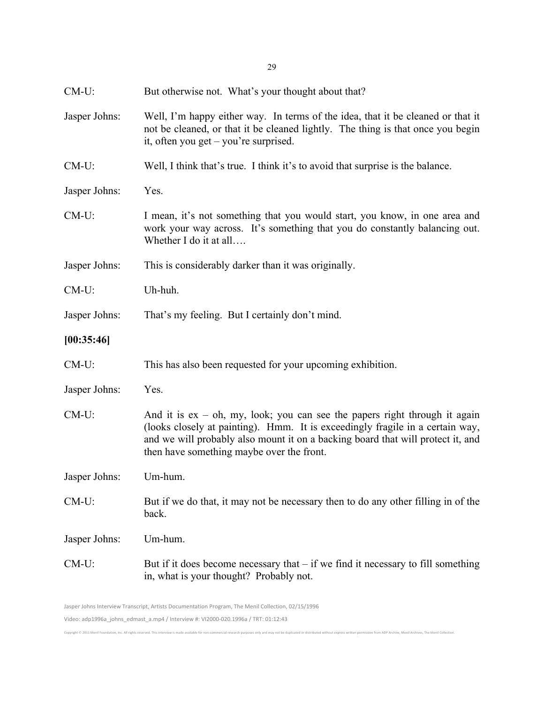| CM-U:         | But otherwise not. What's your thought about that?                                                                                                                                                                                                                                             |
|---------------|------------------------------------------------------------------------------------------------------------------------------------------------------------------------------------------------------------------------------------------------------------------------------------------------|
| Jasper Johns: | Well, I'm happy either way. In terms of the idea, that it be cleaned or that it<br>not be cleaned, or that it be cleaned lightly. The thing is that once you begin<br>it, often you get $-$ you're surprised.                                                                                  |
| $CM-U$ :      | Well, I think that's true. I think it's to avoid that surprise is the balance.                                                                                                                                                                                                                 |
| Jasper Johns: | Yes.                                                                                                                                                                                                                                                                                           |
| $CM-U$ :      | I mean, it's not something that you would start, you know, in one area and<br>work your way across. It's something that you do constantly balancing out.<br>Whether I do it at all                                                                                                             |
| Jasper Johns: | This is considerably darker than it was originally.                                                                                                                                                                                                                                            |
| $CM-U$ :      | Uh-huh.                                                                                                                                                                                                                                                                                        |
| Jasper Johns: | That's my feeling. But I certainly don't mind.                                                                                                                                                                                                                                                 |
| [00:35:46]    |                                                                                                                                                                                                                                                                                                |
| $CM-U$ :      | This has also been requested for your upcoming exhibition.                                                                                                                                                                                                                                     |
| Jasper Johns: | Yes.                                                                                                                                                                                                                                                                                           |
| $CM-U$ :      | And it is $ex - oh$ , my, look; you can see the papers right through it again<br>(looks closely at painting). Hmm. It is exceedingly fragile in a certain way,<br>and we will probably also mount it on a backing board that will protect it, and<br>then have something maybe over the front. |
| Jasper Johns: | Um-hum.                                                                                                                                                                                                                                                                                        |
| CM-U:         | But if we do that, it may not be necessary then to do any other filling in of the<br>back.                                                                                                                                                                                                     |
| Jasper Johns: | Um-hum.                                                                                                                                                                                                                                                                                        |
| $CM-U$ :      | But if it does become necessary that $-$ if we find it necessary to fill something<br>in, what is your thought? Probably not.                                                                                                                                                                  |
|               | Jasper Johns Interview Transcript, Artists Documentation Program, The Menil Collection, 02/15/1996                                                                                                                                                                                             |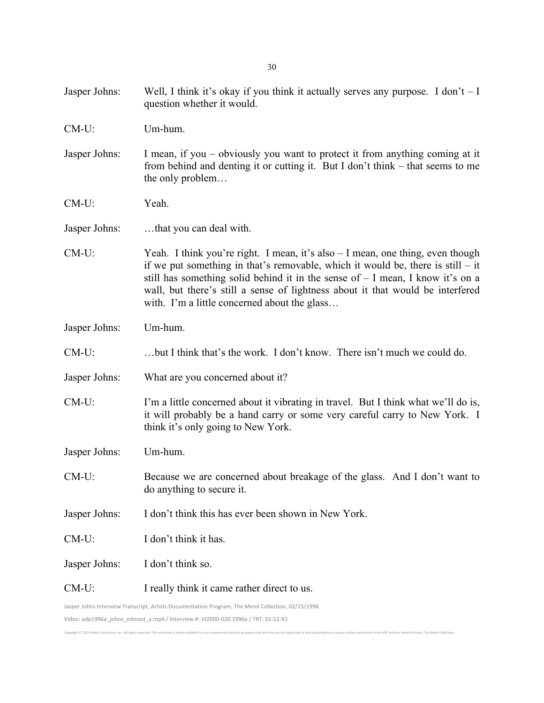30

- Jasper Johns: Well, I think it's okay if you think it actually serves any purpose. I don't  $-1$ question whether it would.
- CM-U: Um-hum.
- Jasper Johns: I mean, if you obviously you want to protect it from anything coming at it from behind and denting it or cutting it. But I don't think – that seems to me the only problem…
- CM-U: Yeah.

Jasper Johns: …that you can deal with.

- CM-U: Yeah. I think you're right. I mean, it's also I mean, one thing, even though if we put something in that's removable, which it would be, there is still – it still has something solid behind it in the sense of – I mean, I know it's on a wall, but there's still a sense of lightness about it that would be interfered with. I'm a little concerned about the glass...
- Jasper Johns: Um-hum.
- CM-U: …but I think that's the work. I don't know. There isn't much we could do.
- Jasper Johns: What are you concerned about it?
- CM-U: I'm a little concerned about it vibrating in travel. But I think what we'll do is, it will probably be a hand carry or some very careful carry to New York. I think it's only going to New York.
- Jasper Johns: Um-hum.
- CM-U: Because we are concerned about breakage of the glass. And I don't want to do anything to secure it.
- Jasper Johns: I don't think this has ever been shown in New York.
- CM-U: I don't think it has.
- Jasper Johns: I don't think so.
- CM-U: I really think it came rather direct to us.

Jasper Johns Interview Transcript, Artists Documentation Program, The Menil Collection, 02/15/1996

Video: adp1996a\_johns\_edmast\_a.mp4 / Interview #: VI2000-020.1996a / TRT: 01:12:43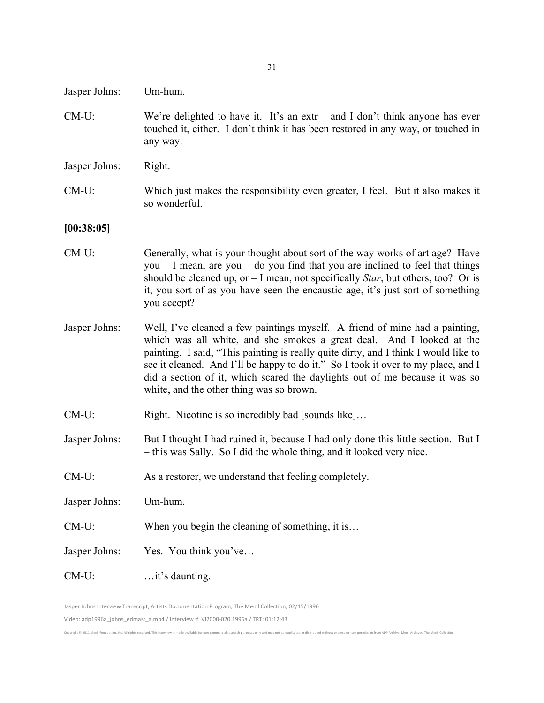- Jasper Johns: Um-hum.
- CM-U: We're delighted to have it. It's an extr and I don't think anyone has ever touched it, either. I don't think it has been restored in any way, or touched in any way.
- Jasper Johns: Right.
- CM-U: Which just makes the responsibility even greater, I feel. But it also makes it so wonderful.

#### **[00:38:05]**

- CM-U: Generally, what is your thought about sort of the way works of art age? Have you  $-1$  mean, are you  $-$  do you find that you are inclined to feel that things should be cleaned up, or – I mean, not specifically *Star*, but others, too? Or is it, you sort of as you have seen the encaustic age, it's just sort of something you accept?
- Jasper Johns: Well, I've cleaned a few paintings myself. A friend of mine had a painting, which was all white, and she smokes a great deal. And I looked at the painting. I said, "This painting is really quite dirty, and I think I would like to see it cleaned. And I'll be happy to do it." So I took it over to my place, and I did a section of it, which scared the daylights out of me because it was so white, and the other thing was so brown.
- CM-U: Right. Nicotine is so incredibly bad [sounds like]...
- Jasper Johns: But I thought I had ruined it, because I had only done this little section. But I – this was Sally. So I did the whole thing, and it looked very nice.

Copyright © 2011 Menil Foundation, Inc. All rights reserved. This interview is made available for non-commercial research purposes only and may not be duplicated or distributed without express written permission from ADP A

- CM-U: As a restorer, we understand that feeling completely.
- Jasper Johns: Um-hum.
- CM-U: When you begin the cleaning of something, it is…
- Jasper Johns: Yes. You think you've...
- CM-U: …it's daunting.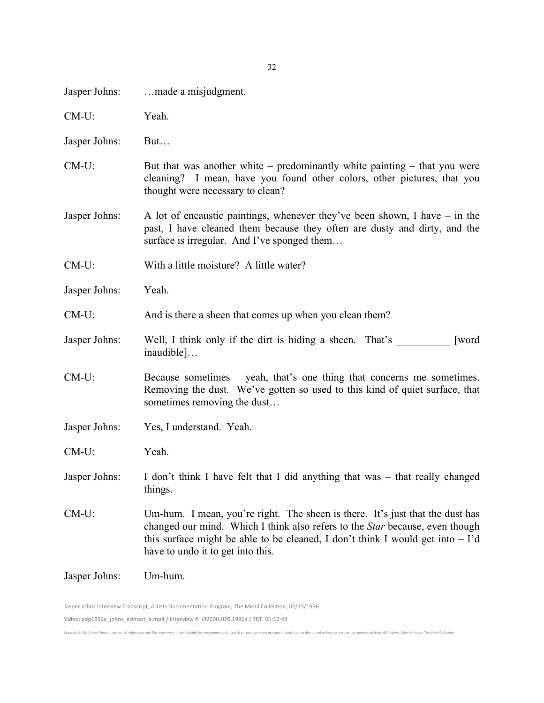| Jasper Johns: | made a misjudgment.                                                                                                                                                                                                                                                                           |
|---------------|-----------------------------------------------------------------------------------------------------------------------------------------------------------------------------------------------------------------------------------------------------------------------------------------------|
| $CM-U$ :      | Yeah.                                                                                                                                                                                                                                                                                         |
| Jasper Johns: | But                                                                                                                                                                                                                                                                                           |
| $CM-U$ :      | But that was another white – predominantly white painting – that you were<br>cleaning? I mean, have you found other colors, other pictures, that you<br>thought were necessary to clean?                                                                                                      |
| Jasper Johns: | A lot of encaustic paintings, whenever they've been shown, I have $-$ in the<br>past, I have cleaned them because they often are dusty and dirty, and the<br>surface is irregular. And I've sponged them                                                                                      |
| $CM-U$ :      | With a little moisture? A little water?                                                                                                                                                                                                                                                       |
| Jasper Johns: | Yeah.                                                                                                                                                                                                                                                                                         |
| CM-U:         | And is there a sheen that comes up when you clean them?                                                                                                                                                                                                                                       |
| Jasper Johns: | Well, I think only if the dirt is hiding a sheen. That's<br>[word]<br>inaudible]                                                                                                                                                                                                              |
| $CM-U$ :      | Because sometimes – yeah, that's one thing that concerns me sometimes.<br>Removing the dust. We've gotten so used to this kind of quiet surface, that<br>sometimes removing the dust                                                                                                          |
| Jasper Johns: | Yes, I understand. Yeah.                                                                                                                                                                                                                                                                      |
| $CM-U$ :      | Yeah.                                                                                                                                                                                                                                                                                         |
| Jasper Johns: | I don't think I have felt that I did anything that was – that really changed<br>things.                                                                                                                                                                                                       |
| $CM-U$ :      | Um-hum. I mean, you're right. The sheen is there. It's just that the dust has<br>changed our mind. Which I think also refers to the <i>Star</i> because, even though<br>this surface might be able to be cleaned, I don't think I would get into $-1$ 'd<br>have to undo it to get into this. |
| Jasper Johns: | Um-hum.                                                                                                                                                                                                                                                                                       |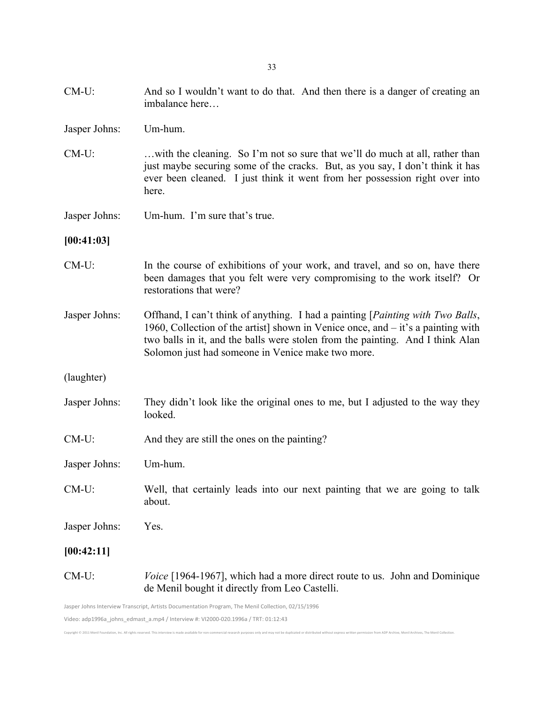33

- CM-U: And so I wouldn't want to do that. And then there is a danger of creating an imbalance here…
- Jasper Johns: Um-hum.
- CM-U: …with the cleaning. So I'm not so sure that we'll do much at all, rather than just maybe securing some of the cracks. But, as you say, I don't think it has ever been cleaned. I just think it went from her possession right over into here.
- Jasper Johns: Um-hum. I'm sure that's true.

#### **[00:41:03]**

- CM-U: In the course of exhibitions of your work, and travel, and so on, have there been damages that you felt were very compromising to the work itself? Or restorations that were?
- Jasper Johns: Offhand, I can't think of anything. I had a painting [*Painting with Two Balls*, 1960, Collection of the artist] shown in Venice once, and – it's a painting with two balls in it, and the balls were stolen from the painting. And I think Alan Solomon just had someone in Venice make two more.
- (laughter)
- Jasper Johns: They didn't look like the original ones to me, but I adjusted to the way they looked.
- CM-U: And they are still the ones on the painting?
- Jasper Johns: Um-hum.
- CM-U: Well, that certainly leads into our next painting that we are going to talk about.

Jasper Johns: Yes.

**[00:42:11]**

CM-U: *Voice* [1964-1967], which had a more direct route to us. John and Dominique de Menil bought it directly from Leo Castelli.

Video: adp1996a\_johns\_edmast\_a.mp4 / Interview #: VI2000-020.1996a / TRT: 01:12:43

Convright @ 2011 Manil Foundation Inc. All rights reserved. This interview is m

Jasper Johns Interview Transcript, Artists Documentation Program, The Menil Collection, 02/15/1996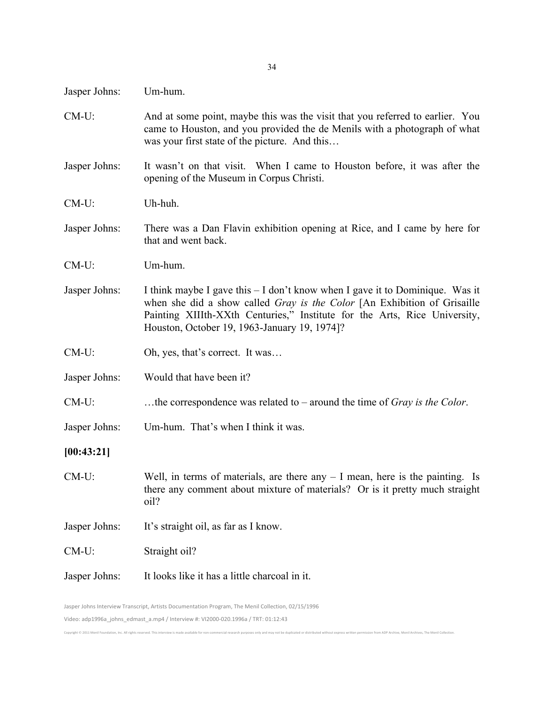- Jasper Johns: Um-hum.
- CM-U: And at some point, maybe this was the visit that you referred to earlier. You came to Houston, and you provided the de Menils with a photograph of what was your first state of the picture. And this…
- Jasper Johns: It wasn't on that visit. When I came to Houston before, it was after the opening of the Museum in Corpus Christi.
- CM-U: Uh-huh.
- Jasper Johns: There was a Dan Flavin exhibition opening at Rice, and I came by here for that and went back.
- CM-U: Um-hum.
- Jasper Johns: I think maybe I gave this I don't know when I gave it to Dominique. Was it when she did a show called *Gray is the Color* [An Exhibition of Grisaille Painting XIIIth-XXth Centuries," Institute for the Arts, Rice University, Houston, October 19, 1963-January 19, 1974]?
- CM-U: Oh, yes, that's correct. It was...
- Jasper Johns: Would that have been it?
- CM-U: …the correspondence was related to around the time of *Gray is the Color*.
- Jasper Johns: Um-hum. That's when I think it was.

#### **[00:43:21]**

- CM-U: Well, in terms of materials, are there any I mean, here is the painting. Is there any comment about mixture of materials? Or is it pretty much straight oil?
- Jasper Johns: It's straight oil, as far as I know.

CM-U: Straight oil?

Convright @ 2011 Monil Foundation Inc. All rights reserved. This interview is made at

Jasper Johns: It looks like it has a little charcoal in it.

Jasper Johns Interview Transcript, Artists Documentation Program, The Menil Collection, 02/15/1996 Video: adp1996a\_johns\_edmast\_a.mp4 / Interview #: VI2000-020.1996a / TRT: 01:12:43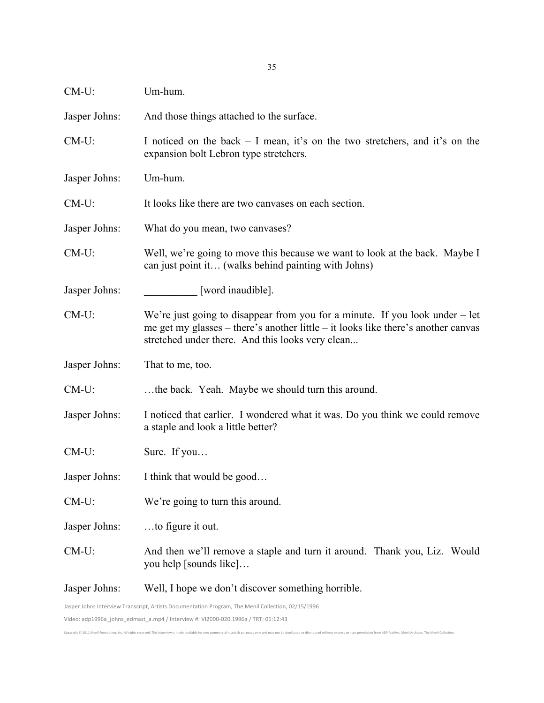| CM-U:         | Um-hum.                                                                                                                                                                                                                 |
|---------------|-------------------------------------------------------------------------------------------------------------------------------------------------------------------------------------------------------------------------|
| Jasper Johns: | And those things attached to the surface.                                                                                                                                                                               |
| $CM-U$ :      | I noticed on the back $-$ I mean, it's on the two stretchers, and it's on the<br>expansion bolt Lebron type stretchers.                                                                                                 |
| Jasper Johns: | Um-hum.                                                                                                                                                                                                                 |
| $CM-U$ :      | It looks like there are two canvases on each section.                                                                                                                                                                   |
| Jasper Johns: | What do you mean, two canvases?                                                                                                                                                                                         |
| $CM-U$ :      | Well, we're going to move this because we want to look at the back. Maybe I<br>can just point it (walks behind painting with Johns)                                                                                     |
| Jasper Johns: | [word inaudible].                                                                                                                                                                                                       |
| CM-U:         | We're just going to disappear from you for a minute. If you look under $-$ let<br>me get my glasses – there's another little – it looks like there's another canvas<br>stretched under there. And this looks very clean |
| Jasper Johns: | That to me, too.                                                                                                                                                                                                        |
| CM-U:         | the back. Yeah. Maybe we should turn this around.                                                                                                                                                                       |
| Jasper Johns: | I noticed that earlier. I wondered what it was. Do you think we could remove<br>a staple and look a little better?                                                                                                      |
| $CM-U$ :      | Sure. If you                                                                                                                                                                                                            |
| Jasper Johns: | I think that would be good                                                                                                                                                                                              |
| CM-U:         | We're going to turn this around.                                                                                                                                                                                        |
| Jasper Johns: | to figure it out.                                                                                                                                                                                                       |
| $CM-U$ :      | And then we'll remove a staple and turn it around. Thank you, Liz. Would<br>you help [sounds like]                                                                                                                      |
| Jasper Johns: | Well, I hope we don't discover something horrible.                                                                                                                                                                      |
|               | Jasper Johns Interview Transcript, Artists Documentation Program, The Menil Collection, 02/15/1996                                                                                                                      |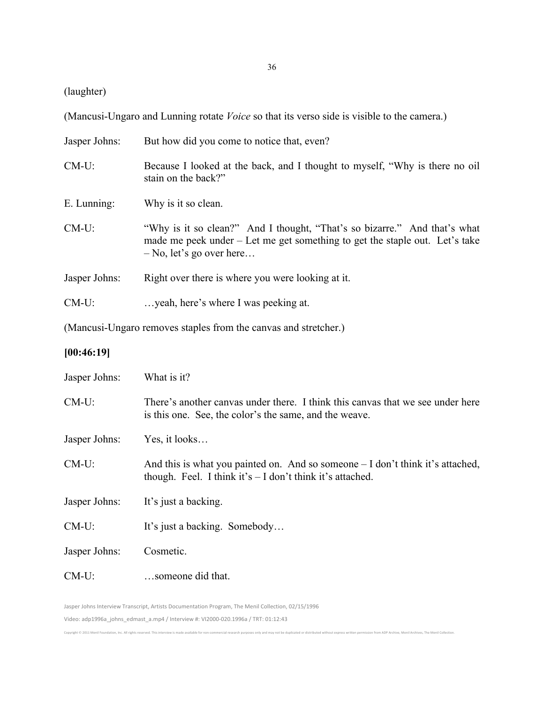(laughter)

(Mancusi-Ungaro and Lunning rotate *Voice* so that its verso side is visible to the camera.)

| Jasper Johns: | But how did you come to notice that, even?                                                                                                                                             |
|---------------|----------------------------------------------------------------------------------------------------------------------------------------------------------------------------------------|
| $CM-U$ :      | Because I looked at the back, and I thought to myself, "Why is there no oil"<br>stain on the back?"                                                                                    |
| E. Lunning:   | Why is it so clean.                                                                                                                                                                    |
| $CM-U$ :      | "Why is it so clean?" And I thought, "That's so bizarre." And that's what<br>made me peek under – Let me get something to get the staple out. Let's take<br>$-$ No, let's go over here |
| Jasper Johns: | Right over there is where you were looking at it.                                                                                                                                      |
| $CM-U$ :      | yeah, here's where I was peeking at.                                                                                                                                                   |
|               |                                                                                                                                                                                        |

(Mancusi-Ungaro removes staples from the canvas and stretcher.)

## **[00:46:19]**

| Jasper Johns: | What is it?                                                                                                                                     |
|---------------|-------------------------------------------------------------------------------------------------------------------------------------------------|
| $CM-U$ :      | There's another canvas under there. I think this canvas that we see under here<br>is this one. See, the color's the same, and the weave.        |
| Jasper Johns: | Yes, it looks                                                                                                                                   |
| $CM-U$ :      | And this is what you painted on. And so some one $-I$ don't think it's attached,<br>though. Feel. I think it's $-$ I don't think it's attached. |
| Jasper Johns: | It's just a backing.                                                                                                                            |
| $CM-U$ :      | It's just a backing. Somebody                                                                                                                   |
| Jasper Johns: | Cosmetic.                                                                                                                                       |
| $CM-U$ :      | someone did that.                                                                                                                               |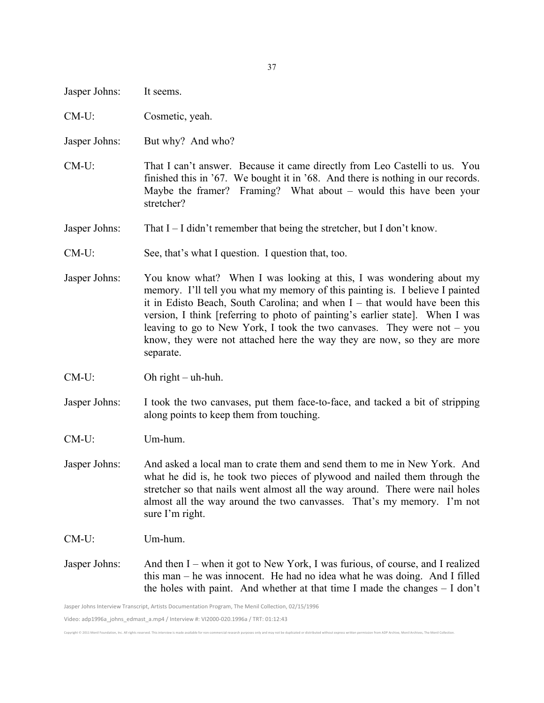| Jasper Johns:                                                                                      | It seems.                                                                                                                                                                                                                                                                                                                                                                                                                                                                                   |
|----------------------------------------------------------------------------------------------------|---------------------------------------------------------------------------------------------------------------------------------------------------------------------------------------------------------------------------------------------------------------------------------------------------------------------------------------------------------------------------------------------------------------------------------------------------------------------------------------------|
| $CM-U$ :                                                                                           | Cosmetic, yeah.                                                                                                                                                                                                                                                                                                                                                                                                                                                                             |
| Jasper Johns:                                                                                      | But why? And who?                                                                                                                                                                                                                                                                                                                                                                                                                                                                           |
| $CM-U$ :                                                                                           | That I can't answer. Because it came directly from Leo Castelli to us. You<br>finished this in '67. We bought it in '68. And there is nothing in our records.<br>Maybe the framer? Framing? What about – would this have been your<br>stretcher?                                                                                                                                                                                                                                            |
| Jasper Johns:                                                                                      | That $I - I$ didn't remember that being the stretcher, but I don't know.                                                                                                                                                                                                                                                                                                                                                                                                                    |
| $CM-U$ :                                                                                           | See, that's what I question. I question that, too.                                                                                                                                                                                                                                                                                                                                                                                                                                          |
| Jasper Johns:                                                                                      | You know what? When I was looking at this, I was wondering about my<br>memory. I'll tell you what my memory of this painting is. I believe I painted<br>it in Edisto Beach, South Carolina; and when $I$ – that would have been this<br>version, I think [referring to photo of painting's earlier state]. When I was<br>leaving to go to New York, I took the two canvases. They were not $-$ you<br>know, they were not attached here the way they are now, so they are more<br>separate. |
| $CM-U$ :                                                                                           | Oh right $-\text{uh-huh}$ .                                                                                                                                                                                                                                                                                                                                                                                                                                                                 |
| Jasper Johns:                                                                                      | I took the two canvases, put them face-to-face, and tacked a bit of stripping<br>along points to keep them from touching.                                                                                                                                                                                                                                                                                                                                                                   |
| $CM-U$ :                                                                                           | Um-hum.                                                                                                                                                                                                                                                                                                                                                                                                                                                                                     |
| Jasper Johns:                                                                                      | And asked a local man to crate them and send them to me in New York. And<br>what he did is, he took two pieces of plywood and nailed them through the<br>stretcher so that nails went almost all the way around. There were nail holes<br>almost all the way around the two canvasses. That's my memory. I'm not<br>sure I'm right.                                                                                                                                                         |
| $CM-U$ :                                                                                           | Um-hum.                                                                                                                                                                                                                                                                                                                                                                                                                                                                                     |
| Jasper Johns:                                                                                      | And then I – when it got to New York, I was furious, of course, and I realized<br>this man – he was innocent. He had no idea what he was doing. And I filled<br>the holes with paint. And whether at that time I made the changes $- I$ don't                                                                                                                                                                                                                                               |
| Jasper Johns Interview Transcript, Artists Documentation Program, The Menil Collection, 02/15/1996 |                                                                                                                                                                                                                                                                                                                                                                                                                                                                                             |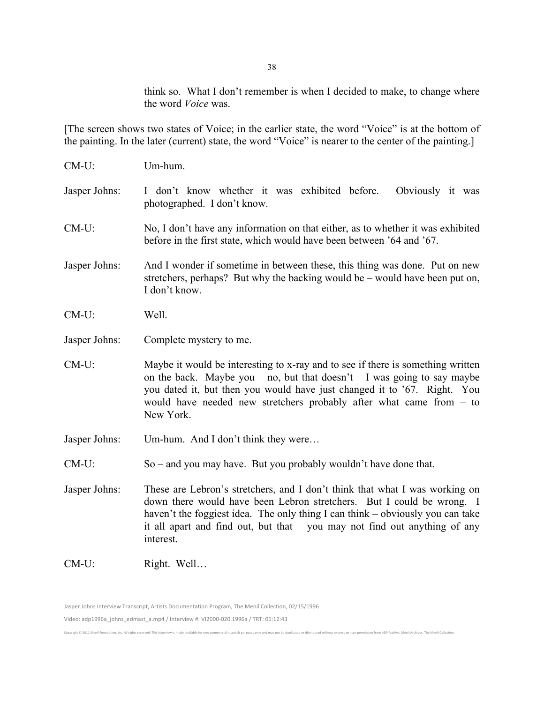think so. What I don't remember is when I decided to make, to change where the word *Voice* was.

[The screen shows two states of Voice; in the earlier state, the word "Voice" is at the bottom of the painting. In the later (current) state, the word "Voice" is nearer to the center of the painting.]

| $CM-U$ :      | Um-hum.                                                                                                                                                                                                                                                                                                                             |  |
|---------------|-------------------------------------------------------------------------------------------------------------------------------------------------------------------------------------------------------------------------------------------------------------------------------------------------------------------------------------|--|
| Jasper Johns: | I don't know whether it was exhibited before.<br>Obviously it was<br>photographed. I don't know.                                                                                                                                                                                                                                    |  |
| $CM-U$ :      | No, I don't have any information on that either, as to whether it was exhibited<br>before in the first state, which would have been between '64 and '67.                                                                                                                                                                            |  |
| Jasper Johns: | And I wonder if sometime in between these, this thing was done. Put on new<br>stretchers, perhaps? But why the backing would be – would have been put on,<br>I don't know.                                                                                                                                                          |  |
| $CM-U$ :      | Well.                                                                                                                                                                                                                                                                                                                               |  |
| Jasper Johns: | Complete mystery to me.                                                                                                                                                                                                                                                                                                             |  |
| $CM-U$ :      | Maybe it would be interesting to x-ray and to see if there is something written<br>on the back. Maybe you – no, but that doesn't – I was going to say maybe<br>you dated it, but then you would have just changed it to '67. Right. You<br>would have needed new stretchers probably after what came from $-$ to<br>New York.       |  |
| Jasper Johns: | Um-hum. And I don't think they were                                                                                                                                                                                                                                                                                                 |  |
| $CM-U$ :      | $So$ – and you may have. But you probably wouldn't have done that.                                                                                                                                                                                                                                                                  |  |
| Jasper Johns: | These are Lebron's stretchers, and I don't think that what I was working on<br>down there would have been Lebron stretchers. But I could be wrong. I<br>haven't the foggiest idea. The only thing I can think – obviously you can take<br>it all apart and find out, but that $-$ you may not find out anything of any<br>interest. |  |
| $CM-U$ :      | Right. Well                                                                                                                                                                                                                                                                                                                         |  |

Jasper Johns Interview Transcript, Artists Documentation Program, The Menil Collection, 02/15/1996 Video: adp1996a\_johns\_edmast\_a.mp4 / Interview #: VI2000-020.1996a / TRT: 01:12:43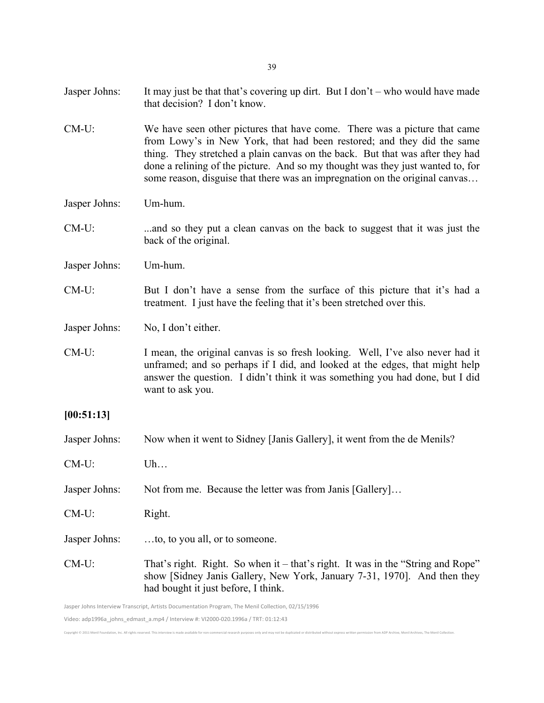- Jasper Johns: It may just be that that's covering up dirt. But I don't who would have made that decision? I don't know.
- CM-U: We have seen other pictures that have come. There was a picture that came from Lowy's in New York, that had been restored; and they did the same thing. They stretched a plain canvas on the back. But that was after they had done a relining of the picture. And so my thought was they just wanted to, for some reason, disguise that there was an impregnation on the original canvas…
- Jasper Johns: Um-hum.
- CM-U: ...and so they put a clean canvas on the back to suggest that it was just the back of the original.
- Jasper Johns: Um-hum.
- CM-U: But I don't have a sense from the surface of this picture that it's had a treatment. I just have the feeling that it's been stretched over this.

Jasper Johns: No, I don't either.

- CM-U: I mean, the original canvas is so fresh looking. Well, I've also never had it unframed; and so perhaps if I did, and looked at the edges, that might help answer the question. I didn't think it was something you had done, but I did want to ask you.
- **[00:51:13]**
- Jasper Johns: Now when it went to Sidney [Janis Gallery], it went from the de Menils?
- CM-U: Uh…
- Jasper Johns: Not from me. Because the letter was from Janis [Gallery]…
- CM-U: Right.
- Jasper Johns: …to, to you all, or to someone.
- CM-U: That's right. Right. So when it that's right. It was in the "String and Rope" show [Sidney Janis Gallery, New York, January 7-31, 1970]. And then they had bought it just before, I think.

Copyright © 2011 Menil Foundation, Inc. All rights reserved. This interview is made available for non-commercial research purposes only and may not be duplicated or distributed without express written permission from ADP A

Jasper Johns Interview Transcript, Artists Documentation Program, The Menil Collection, 02/15/1996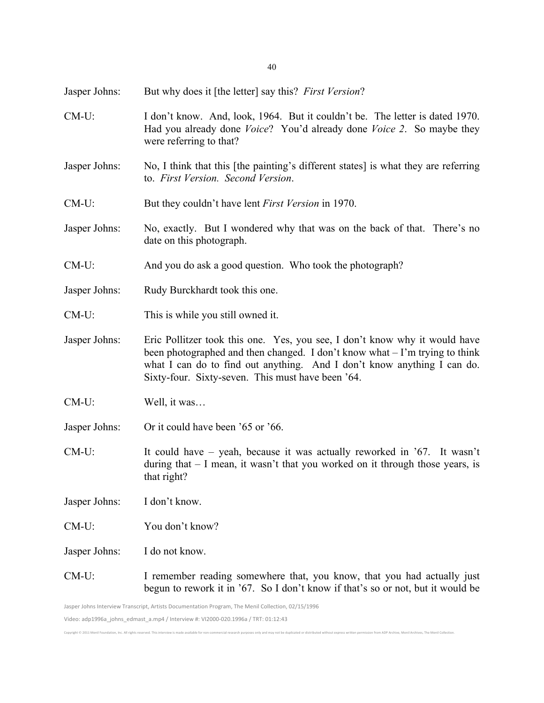Jasper Johns: But why does it [the letter] say this? *First Version*?

- CM-U: I don't know. And, look, 1964. But it couldn't be. The letter is dated 1970. Had you already done *Voice*? You'd already done *Voice 2*. So maybe they were referring to that?
- Jasper Johns: No, I think that this [the painting's different states] is what they are referring to. *First Version. Second Version*.
- CM-U: But they couldn't have lent *First Version* in 1970.
- Jasper Johns: No, exactly. But I wondered why that was on the back of that. There's no date on this photograph.
- CM-U: And you do ask a good question. Who took the photograph?
- Jasper Johns: Rudy Burckhardt took this one.
- CM-U: This is while you still owned it.
- Jasper Johns: Eric Pollitzer took this one. Yes, you see, I don't know why it would have been photographed and then changed. I don't know what – I'm trying to think what I can do to find out anything. And I don't know anything I can do. Sixty-four. Sixty-seven. This must have been '64.
- CM-U: Well, it was…
- Jasper Johns: Or it could have been '65 or '66.
- CM-U: It could have yeah, because it was actually reworked in '67. It wasn't during that – I mean, it wasn't that you worked on it through those years, is that right?
- Jasper Johns: I don't know.
- CM-U: You don't know?
- Jasper Johns: I do not know.
- CM-U: I remember reading somewhere that, you know, that you had actually just begun to rework it in '67. So I don't know if that's so or not, but it would be

Jasper Johns Interview Transcript, Artists Documentation Program, The Menil Collection, 02/15/1996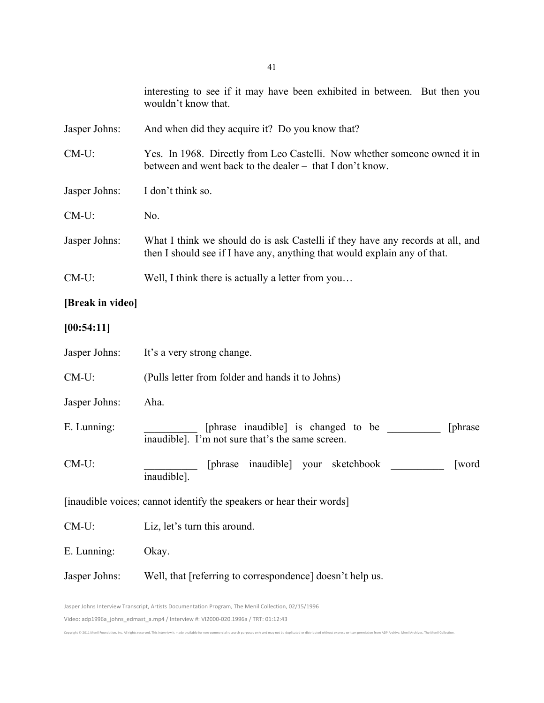|                                                                                                    | interesting to see if it may have been exhibited in between. But then you<br>wouldn't know that.                                                            |  |
|----------------------------------------------------------------------------------------------------|-------------------------------------------------------------------------------------------------------------------------------------------------------------|--|
| Jasper Johns:                                                                                      | And when did they acquire it? Do you know that?                                                                                                             |  |
| $CM-U$ :                                                                                           | Yes. In 1968. Directly from Leo Castelli. Now whether someone owned it in<br>between and went back to the dealer - that I don't know.                       |  |
| Jasper Johns:                                                                                      | I don't think so.                                                                                                                                           |  |
| $CM-U$ :                                                                                           | No.                                                                                                                                                         |  |
| Jasper Johns:                                                                                      | What I think we should do is ask Castelli if they have any records at all, and<br>then I should see if I have any, anything that would explain any of that. |  |
| $CM-U$ :                                                                                           | Well, I think there is actually a letter from you                                                                                                           |  |
| [Break in video]                                                                                   |                                                                                                                                                             |  |
| [00:54:11]                                                                                         |                                                                                                                                                             |  |
| Jasper Johns:                                                                                      | It's a very strong change.                                                                                                                                  |  |
| $CM-U$ :                                                                                           | (Pulls letter from folder and hands it to Johns)                                                                                                            |  |
| Jasper Johns:                                                                                      | Aha.                                                                                                                                                        |  |
| E. Lunning:                                                                                        | [phrase inaudible] is changed to be<br>[phrase]<br>inaudible]. I'm not sure that's the same screen.                                                         |  |
| $CM-U$ :                                                                                           | [phrase inaudible] your<br>sketchbook<br><b>[word</b><br>inaudible].                                                                                        |  |
| [inaudible voices; cannot identify the speakers or hear their words]                               |                                                                                                                                                             |  |
| $CM-U$ :                                                                                           | Liz, let's turn this around.                                                                                                                                |  |
| E. Lunning:                                                                                        | Okay.                                                                                                                                                       |  |
| Jasper Johns:                                                                                      | Well, that [referring to correspondence] doesn't help us.                                                                                                   |  |
| Jasper Johns Interview Transcript, Artists Documentation Program, The Menil Collection, 02/15/1996 |                                                                                                                                                             |  |

Copyright © 2011 Menil Foundation, Inc. All rights reserved. This interview is made available for non-commercial research purposes only and may not be duplicated or distributed without express written permission from ADP A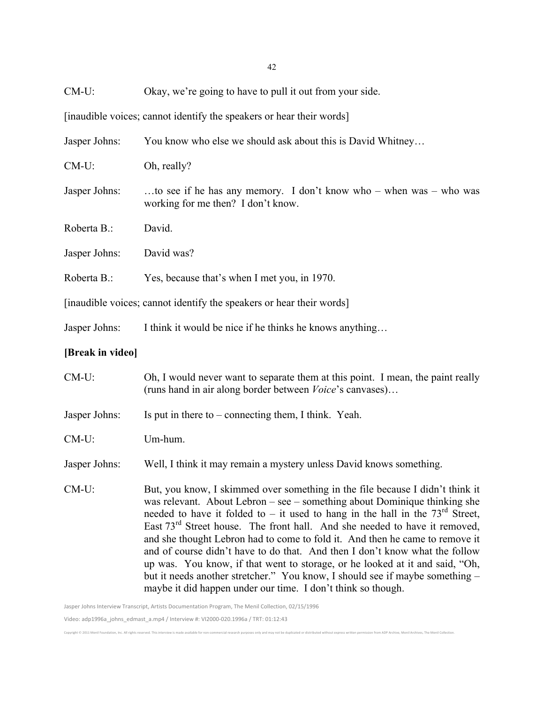CM-U: Okay, we're going to have to pull it out from your side.

[inaudible voices; cannot identify the speakers or hear their words]

| Jasper Johns:    | You know who else we should ask about this is David Whitney                                                                                                                                                                                                                                                                                                                                                                                                                                  |
|------------------|----------------------------------------------------------------------------------------------------------------------------------------------------------------------------------------------------------------------------------------------------------------------------------------------------------------------------------------------------------------------------------------------------------------------------------------------------------------------------------------------|
| $CM-U$ :         | Oh, really?                                                                                                                                                                                                                                                                                                                                                                                                                                                                                  |
| Jasper Johns:    | to see if he has any memory. I don't know who - when was - who was<br>working for me then? I don't know.                                                                                                                                                                                                                                                                                                                                                                                     |
| Roberta B.:      | David.                                                                                                                                                                                                                                                                                                                                                                                                                                                                                       |
| Jasper Johns:    | David was?                                                                                                                                                                                                                                                                                                                                                                                                                                                                                   |
| Roberta B.:      | Yes, because that's when I met you, in 1970.                                                                                                                                                                                                                                                                                                                                                                                                                                                 |
|                  | [inaudible voices; cannot identify the speakers or hear their words]                                                                                                                                                                                                                                                                                                                                                                                                                         |
| Jasper Johns:    | I think it would be nice if he thinks he knows anything                                                                                                                                                                                                                                                                                                                                                                                                                                      |
| [Break in video] |                                                                                                                                                                                                                                                                                                                                                                                                                                                                                              |
| CM-U:            | Oh, I would never want to separate them at this point. I mean, the paint really<br>(runs hand in air along border between <i>Voice's</i> canvases)                                                                                                                                                                                                                                                                                                                                           |
| Jasper Johns:    | Is put in there to $-$ connecting them, I think. Yeah.                                                                                                                                                                                                                                                                                                                                                                                                                                       |
| $CM-U$ :         | Um-hum.                                                                                                                                                                                                                                                                                                                                                                                                                                                                                      |
| Jasper Johns:    | Well, I think it may remain a mystery unless David knows something.                                                                                                                                                                                                                                                                                                                                                                                                                          |
| $CM-U$ :         | But, you know, I skimmed over something in the file because I didn't think it<br>was relevant. About Lebron - see - something about Dominique thinking she<br>needed to have it folded to – it used to hang in the hall in the $73rd$ Street,<br>East $73rd$ Street house. The front hall. And she needed to have it removed,<br>and she thought Lebron had to come to fold it. And then he came to remove it<br>and of course didn't have to do that. And then I don't know what the follow |

but it needs another stretcher." You know, I should see if maybe something – maybe it did happen under our time. I don't think so though.

Copyright © 2011 Menil Foundation, Inc. All rights reserved. This interview is made available for non-commercial research purposes only and may not be duplicated or distributed without express written permission from ADP A

up was. You know, if that went to storage, or he looked at it and said, "Oh,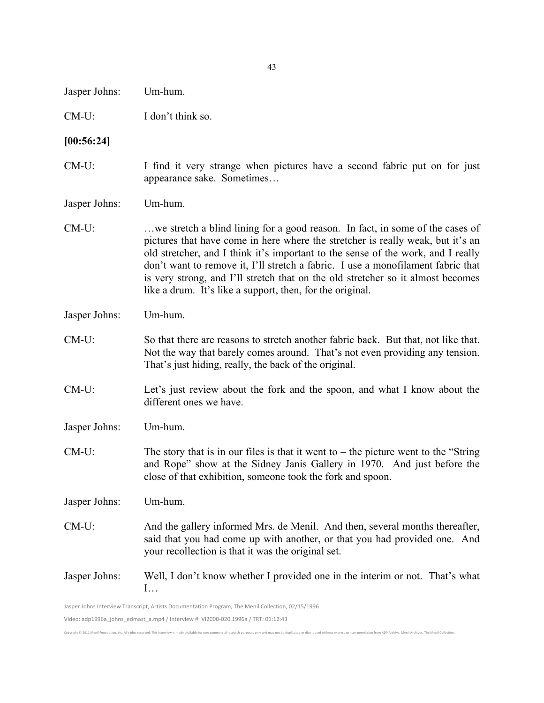Jasper Johns: Um-hum.

CM-U: I don't think so.

#### **[00:56:24]**

CM-U: I find it very strange when pictures have a second fabric put on for just appearance sake. Sometimes…

Jasper Johns: Um-hum.

- CM-U: …we stretch a blind lining for a good reason. In fact, in some of the cases of pictures that have come in here where the stretcher is really weak, but it's an old stretcher, and I think it's important to the sense of the work, and I really don't want to remove it, I'll stretch a fabric. I use a monofilament fabric that is very strong, and I'll stretch that on the old stretcher so it almost becomes like a drum. It's like a support, then, for the original.
- Jasper Johns: Um-hum.
- CM-U: So that there are reasons to stretch another fabric back. But that, not like that. Not the way that barely comes around. That's not even providing any tension. That's just hiding, really, the back of the original.
- CM-U: Let's just review about the fork and the spoon, and what I know about the different ones we have.

Jasper Johns: Um-hum.

 $CM-U$ : The story that is in our files is that it went to – the picture went to the "String" and Rope" show at the Sidney Janis Gallery in 1970. And just before the close of that exhibition, someone took the fork and spoon.

Jasper Johns: Um-hum.

CM-U: And the gallery informed Mrs. de Menil. And then, several months thereafter, said that you had come up with another, or that you had provided one. And your recollection is that it was the original set.

## Jasper Johns: Well, I don't know whether I provided one in the interim or not. That's what  $\mathbf{I}$

Jasper Johns Interview Transcript, Artists Documentation Program, The Menil Collection, 02/15/1996

Video: adp1996a\_johns\_edmast\_a.mp4 / Interview #: VI2000-020.1996a / TRT: 01:12:43

Copyright''2011'Menil'Foundation,'Inc.'All'rights'reserved.'This'interview'is'made'available'for'nonKcommercial'research'purposes'only'and'may'not'be'duplicated'or'distributed'without'express'written'permission'from'ADP'Archive,'Menil'Archives,'The'Menil'Collection.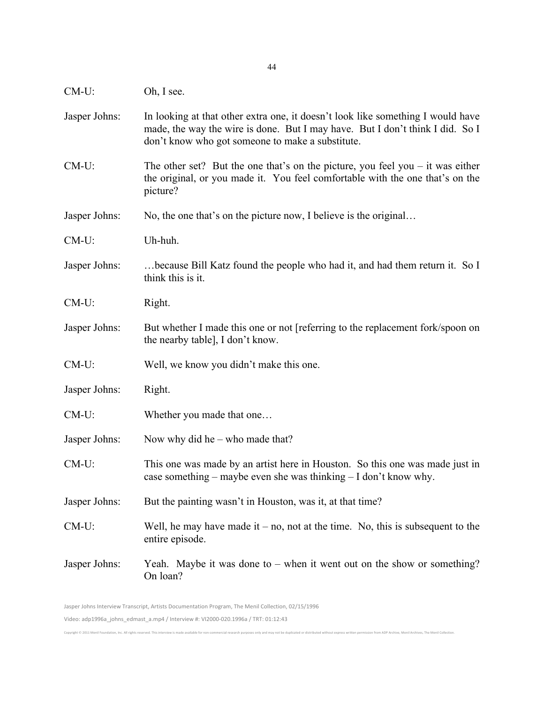Jasper Johns: In looking at that other extra one, it doesn't look like something I would have made, the way the wire is done. But I may have. But I don't think I did. So I don't know who got someone to make a substitute. CM-U: The other set? But the one that's on the picture, you feel you – it was either the original, or you made it. You feel comfortable with the one that's on the picture? Jasper Johns: No, the one that's on the picture now, I believe is the original... CM-U: Uh-huh. Jasper Johns: …because Bill Katz found the people who had it, and had them return it. So I think this is it. CM-U: Right. Jasper Johns: But whether I made this one or not [referring to the replacement fork/spoon on the nearby table], I don't know. CM-U: Well, we know you didn't make this one. Jasper Johns: Right. CM-U: Whether you made that one… Jasper Johns: Now why did he – who made that? CM-U: This one was made by an artist here in Houston. So this one was made just in case something – maybe even she was thinking – I don't know why. Jasper Johns: But the painting wasn't in Houston, was it, at that time?  $CM-U$ : Well, he may have made it – no, not at the time. No, this is subsequent to the entire episode. Jasper Johns: Yeah. Maybe it was done to – when it went out on the show or something? On loan?

Jasper Johns Interview Transcript, Artists Documentation Program, The Menil Collection, 02/15/1996 Video: adp1996a\_johns\_edmast\_a.mp4 / Interview #: VI2000-020.1996a / TRT: 01:12:43

Convright @ 2011 Menil Foundation Inc. All rights reserved. This interview is made a

CM-U: Oh, I see.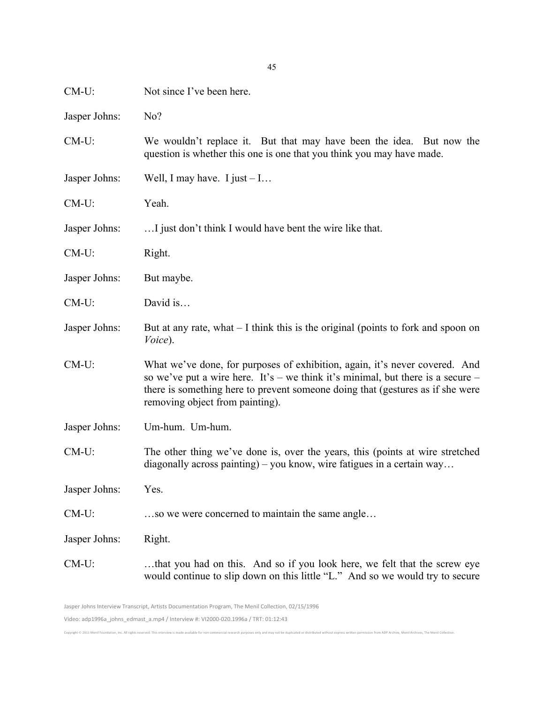| $CM-U$ :      | Not since I've been here.                                                                                                                                                                                                                                                           |
|---------------|-------------------------------------------------------------------------------------------------------------------------------------------------------------------------------------------------------------------------------------------------------------------------------------|
| Jasper Johns: | No?                                                                                                                                                                                                                                                                                 |
| $CM-U$ :      | We wouldn't replace it. But that may have been the idea. But now the<br>question is whether this one is one that you think you may have made.                                                                                                                                       |
| Jasper Johns: | Well, I may have. I just $-1$                                                                                                                                                                                                                                                       |
| $CM-U$ :      | Yeah.                                                                                                                                                                                                                                                                               |
| Jasper Johns: | I just don't think I would have bent the wire like that.                                                                                                                                                                                                                            |
| $CM-U$ :      | Right.                                                                                                                                                                                                                                                                              |
| Jasper Johns: | But maybe.                                                                                                                                                                                                                                                                          |
| $CM-U$ :      | David is                                                                                                                                                                                                                                                                            |
| Jasper Johns: | But at any rate, what $-1$ think this is the original (points to fork and spoon on<br>Voice).                                                                                                                                                                                       |
| $CM-U$ :      | What we've done, for purposes of exhibition, again, it's never covered. And<br>so we've put a wire here. It's – we think it's minimal, but there is a secure –<br>there is something here to prevent someone doing that (gestures as if she were<br>removing object from painting). |
| Jasper Johns: | Um-hum. Um-hum.                                                                                                                                                                                                                                                                     |
| $CM-U$ :      | The other thing we've done is, over the years, this (points at wire stretched<br>diagonally across painting) – you know, wire fatigues in a certain way                                                                                                                             |
| Jasper Johns: | Yes.                                                                                                                                                                                                                                                                                |
| $CM-U$ :      | so we were concerned to maintain the same angle                                                                                                                                                                                                                                     |
| Jasper Johns: | Right.                                                                                                                                                                                                                                                                              |
| $CM-U$ :      | that you had on this. And so if you look here, we felt that the screw eye<br>would continue to slip down on this little "L." And so we would try to secure                                                                                                                          |

45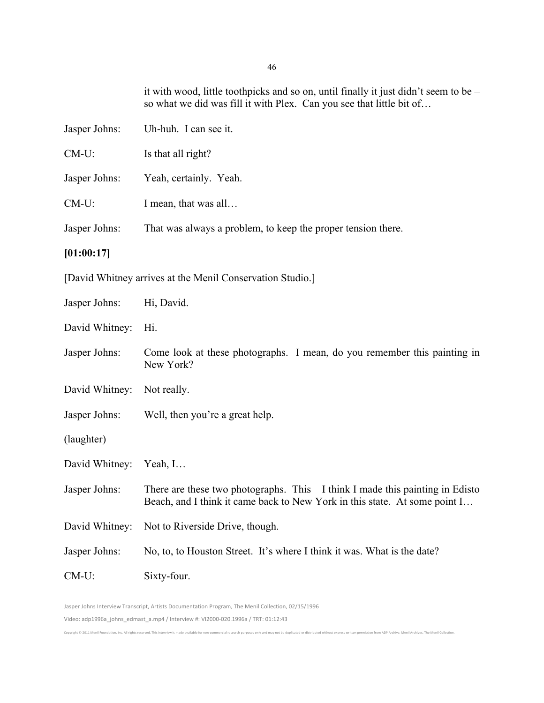it with wood, little toothpicks and so on, until finally it just didn't seem to be – so what we did was fill it with Plex. Can you see that little bit of…

| Jasper Johns: | Uh-huh. I can see it.                                        |
|---------------|--------------------------------------------------------------|
| $CM-U$ :      | Is that all right?                                           |
| Jasper Johns: | Yeah, certainly. Yeah.                                       |
| $CM-U$ :      | I mean, that was all                                         |
| Jasper Johns: | That was always a problem, to keep the proper tension there. |
| [01:00:17]    |                                                              |
|               | [David Whitney arrives at the Menil Conservation Studio.]    |
| Jasper Johns: | Hi, David.                                                   |

David Whitney: Hi.

- Jasper Johns: Come look at these photographs. I mean, do you remember this painting in New York?
- David Whitney: Not really.
- Jasper Johns: Well, then you're a great help.
- (laughter)
- David Whitney: Yeah, I…
- Jasper Johns: There are these two photographs. This I think I made this painting in Edisto Beach, and I think it came back to New York in this state. At some point I…
- David Whitney: Not to Riverside Drive, though.
- Jasper Johns: No, to, to Houston Street. It's where I think it was. What is the date?

Convight @ 2011 Manil Foundation Inc. All rights reserved. This intension is made available for non-commercial research nurroses only and may not be dunlicated or distributed without everyess written nermission from ADB Ar

CM-U: Sixty-four.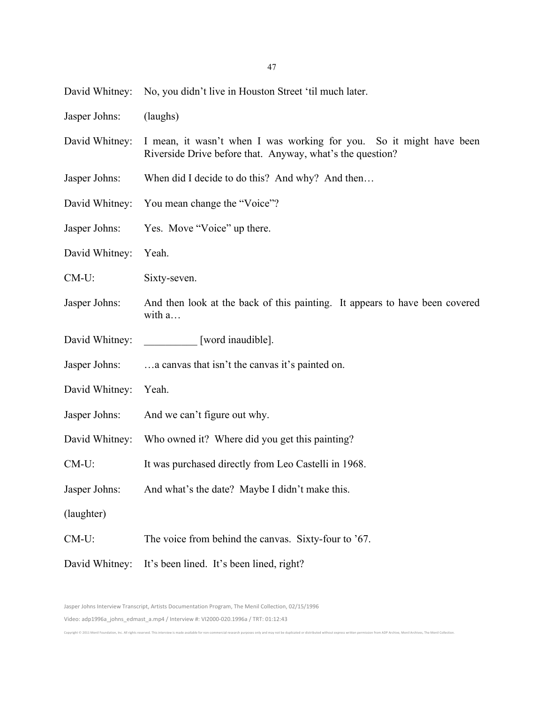47

David Whitney: No, you didn't live in Houston Street 'til much later.

| Jasper Johns: | (laughs) |
|---------------|----------|
|               |          |

- David Whitney: I mean, it wasn't when I was working for you. So it might have been Riverside Drive before that. Anyway, what's the question?
- Jasper Johns: When did I decide to do this? And why? And then…
- David Whitney: You mean change the "Voice"?
- Jasper Johns: Yes. Move "Voice" up there.
- David Whitney: Yeah.
- CM-U: Sixty-seven.
- Jasper Johns: And then look at the back of this painting. It appears to have been covered with a…
- David Whitney: [word inaudible].
- Jasper Johns: …a canvas that isn't the canvas it's painted on.
- David Whitney: Yeah.

Convright @ 2011 Monil Foundation Inc. All rights reserved. This interview is made at

- Jasper Johns: And we can't figure out why.
- David Whitney: Who owned it? Where did you get this painting?
- CM-U: It was purchased directly from Leo Castelli in 1968.
- Jasper Johns: And what's the date? Maybe I didn't make this.
- (laughter)
- CM-U: The voice from behind the canvas. Sixty-four to '67.
- David Whitney: It's been lined. It's been lined, right?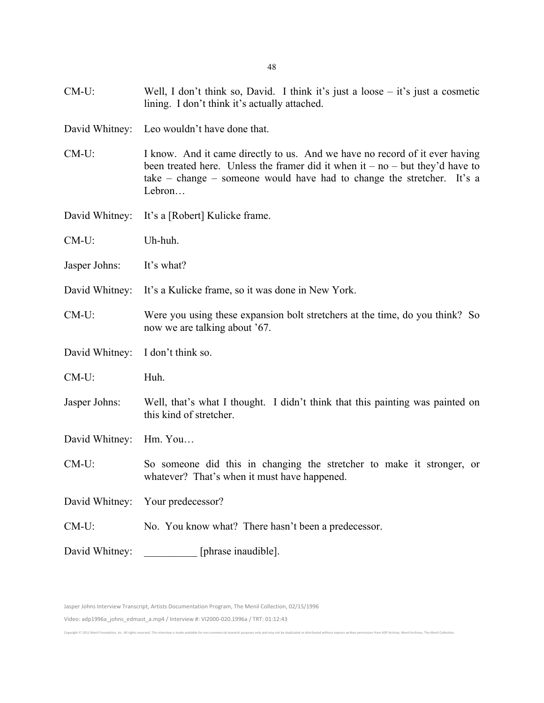| $CM-U$ :       | Well, I don't think so, David. I think it's just a loose $-$ it's just a cosmetic<br>lining. I don't think it's actually attached.                                                                                                                 |
|----------------|----------------------------------------------------------------------------------------------------------------------------------------------------------------------------------------------------------------------------------------------------|
| David Whitney: | Leo wouldn't have done that.                                                                                                                                                                                                                       |
| $CM-U$ :       | I know. And it came directly to us. And we have no record of it ever having<br>been treated here. Unless the framer did it when $it - no - but they'd have to$<br>take – change – someone would have had to change the stretcher. It's a<br>Lebron |
| David Whitney: | It's a [Robert] Kulicke frame.                                                                                                                                                                                                                     |
| $CM-U$ :       | Uh-huh.                                                                                                                                                                                                                                            |
| Jasper Johns:  | It's what?                                                                                                                                                                                                                                         |
| David Whitney: | It's a Kulicke frame, so it was done in New York.                                                                                                                                                                                                  |
| $CM-U$ :       | Were you using these expansion bolt stretchers at the time, do you think? So<br>now we are talking about '67.                                                                                                                                      |
| David Whitney: | I don't think so.                                                                                                                                                                                                                                  |
| $CM-U$ :       | Huh.                                                                                                                                                                                                                                               |
| Jasper Johns:  | Well, that's what I thought. I didn't think that this painting was painted on<br>this kind of stretcher.                                                                                                                                           |
| David Whitney: | Hm. You                                                                                                                                                                                                                                            |
| CM-U:          | So someone did this in changing the stretcher to make it stronger, or<br>whatever? That's when it must have happened.                                                                                                                              |
|                | David Whitney: Your predecessor?                                                                                                                                                                                                                   |
| $CM-U$ :       | No. You know what? There hasn't been a predecessor.                                                                                                                                                                                                |
| David Whitney: | [phrase inaudible].                                                                                                                                                                                                                                |

Jasper Johns Interview Transcript, Artists Documentation Program, The Menil Collection, 02/15/1996

Video: adp1996a\_johns\_edmast\_a.mp4 / Interview #: VI2000-020.1996a / TRT: 01:12:43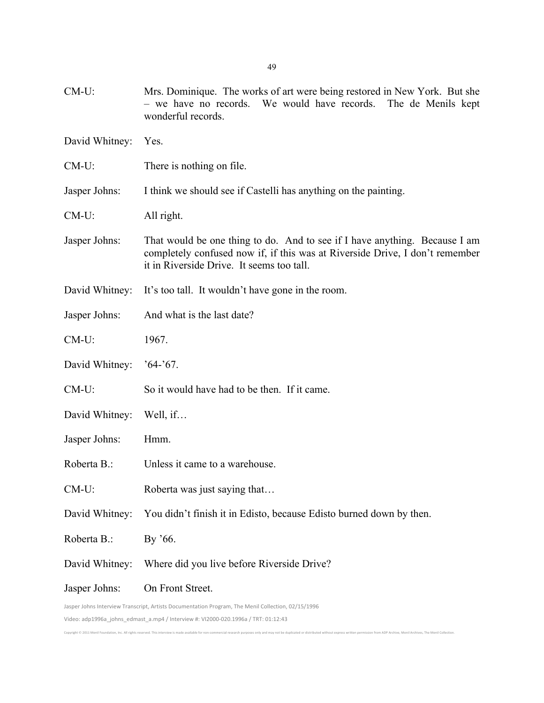| $CM-U$ :                                                                                           | Mrs. Dominique. The works of art were being restored in New York. But she<br>- we have no records. We would have records. The de Menils kept<br>wonderful records.                                      |
|----------------------------------------------------------------------------------------------------|---------------------------------------------------------------------------------------------------------------------------------------------------------------------------------------------------------|
| David Whitney:                                                                                     | Yes.                                                                                                                                                                                                    |
| $CM-U$ :                                                                                           | There is nothing on file.                                                                                                                                                                               |
| Jasper Johns:                                                                                      | I think we should see if Castelli has anything on the painting.                                                                                                                                         |
| $CM-U$ :                                                                                           | All right.                                                                                                                                                                                              |
| Jasper Johns:                                                                                      | That would be one thing to do. And to see if I have anything. Because I am<br>completely confused now if, if this was at Riverside Drive, I don't remember<br>it in Riverside Drive. It seems too tall. |
| David Whitney:                                                                                     | It's too tall. It wouldn't have gone in the room.                                                                                                                                                       |
| Jasper Johns:                                                                                      | And what is the last date?                                                                                                                                                                              |
| $CM-U$ :                                                                                           | 1967.                                                                                                                                                                                                   |
| David Whitney:                                                                                     | $64-67.$                                                                                                                                                                                                |
| $CM-U$ :                                                                                           | So it would have had to be then. If it came.                                                                                                                                                            |
| David Whitney:                                                                                     | Well, if                                                                                                                                                                                                |
| Jasper Johns:                                                                                      | Hmm.                                                                                                                                                                                                    |
| Roberta B.:                                                                                        | Unless it came to a warehouse.                                                                                                                                                                          |
| CM-U:                                                                                              | Roberta was just saying that                                                                                                                                                                            |
| David Whitney:                                                                                     | You didn't finish it in Edisto, because Edisto burned down by then.                                                                                                                                     |
| Roberta B.:                                                                                        | By '66.                                                                                                                                                                                                 |
| David Whitney:                                                                                     | Where did you live before Riverside Drive?                                                                                                                                                              |
| Jasper Johns:                                                                                      | On Front Street.                                                                                                                                                                                        |
| Jasper Johns Interview Transcript, Artists Documentation Program, The Menil Collection, 02/15/1996 |                                                                                                                                                                                                         |

Copyright © 2011 Menil Foundation, Inc. All rights reserved. This interview is made available for non-commercial research purposes only and may not be duplicated or distributed without express written permission from ADP A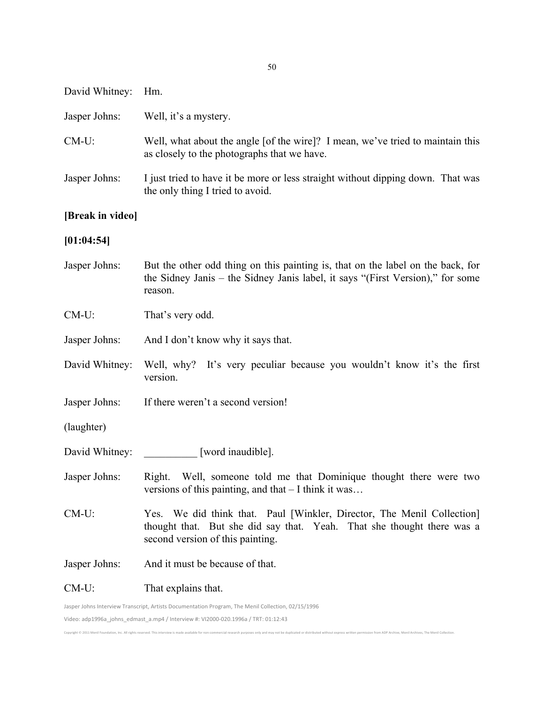| Jasper Johns:                                       | Well, it's a mystery.                                                                                                                                                        |
|-----------------------------------------------------|------------------------------------------------------------------------------------------------------------------------------------------------------------------------------|
| $CM-U$ :                                            | Well, what about the angle [of the wire]? I mean, we've tried to maintain this<br>as closely to the photographs that we have.                                                |
| Jasper Johns:                                       | I just tried to have it be more or less straight without dipping down. That was<br>the only thing I tried to avoid.                                                          |
| [Break in video]                                    |                                                                                                                                                                              |
| [01:04:54]                                          |                                                                                                                                                                              |
| Jasper Johns:                                       | But the other odd thing on this painting is, that on the label on the back, for<br>the Sidney Janis – the Sidney Janis label, it says "(First Version)," for some<br>reason. |
| $CM-U$ :                                            | That's very odd.                                                                                                                                                             |
| Jasper Johns:                                       | And I don't know why it says that.                                                                                                                                           |
| David Whitney:                                      | Well, why? It's very peculiar because you wouldn't know it's the first<br>version.                                                                                           |
| $\mathbf{I}$ $\mathbf{I}$ $\mathbf{I}$ $\mathbf{I}$ |                                                                                                                                                                              |

- Jasper Johns: If there weren't a second version!
- (laughter)

David Whitney: Hm.

- David Whitney: \_\_\_\_\_\_\_\_\_\_ [word inaudible].
- Jasper Johns: Right. Well, someone told me that Dominique thought there were two versions of this painting, and that – I think it was…
- CM-U: Yes. We did think that. Paul [Winkler, Director, The Menil Collection] thought that. But she did say that. Yeah. That she thought there was a second version of this painting.

- Jasper Johns: And it must be because of that.
- CM-U: That explains that.

Jasper Johns Interview Transcript, Artists Documentation Program, The Menil Collection, 02/15/1996 Video: adp1996a\_johns\_edmast\_a.mp4 / Interview #: VI2000-020.1996a / TRT: 01:12:43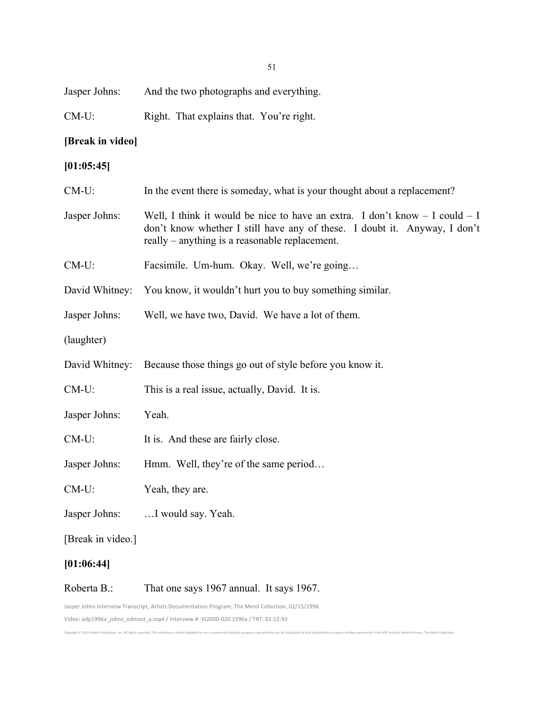| $CM-U$ :                                                                                           | Right. That explains that. You're right.                                                                                                                                                                       |
|----------------------------------------------------------------------------------------------------|----------------------------------------------------------------------------------------------------------------------------------------------------------------------------------------------------------------|
| [Break in video]                                                                                   |                                                                                                                                                                                                                |
| [01:05:45]                                                                                         |                                                                                                                                                                                                                |
| $CM-U$ :                                                                                           | In the event there is someday, what is your thought about a replacement?                                                                                                                                       |
| Jasper Johns:                                                                                      | Well, I think it would be nice to have an extra. I don't know $- I$ could $- I$<br>don't know whether I still have any of these. I doubt it. Anyway, I don't<br>really – anything is a reasonable replacement. |
| $CM-U$ :                                                                                           | Facsimile. Um-hum. Okay. Well, we're going                                                                                                                                                                     |
| David Whitney:                                                                                     | You know, it wouldn't hurt you to buy something similar.                                                                                                                                                       |
| Jasper Johns:                                                                                      | Well, we have two, David. We have a lot of them.                                                                                                                                                               |
| (laughter)                                                                                         |                                                                                                                                                                                                                |
| David Whitney:                                                                                     | Because those things go out of style before you know it.                                                                                                                                                       |
| CM-U:                                                                                              | This is a real issue, actually, David. It is.                                                                                                                                                                  |
| Jasper Johns:                                                                                      | Yeah.                                                                                                                                                                                                          |
| $CM-U$ :                                                                                           | It is. And these are fairly close.                                                                                                                                                                             |
| Jasper Johns:                                                                                      | Hmm. Well, they're of the same period                                                                                                                                                                          |
| $CM-U$ :                                                                                           | Yeah, they are.                                                                                                                                                                                                |
| Jasper Johns:                                                                                      | I would say. Yeah.                                                                                                                                                                                             |
| [Break in video.]                                                                                  |                                                                                                                                                                                                                |
| [01:06:44]                                                                                         |                                                                                                                                                                                                                |
| Roberta B.:                                                                                        | That one says 1967 annual. It says 1967.                                                                                                                                                                       |
| Jasper Johns Interview Transcript, Artists Documentation Program, The Menil Collection, 02/15/1996 |                                                                                                                                                                                                                |

Copyright © 2011 Menil Foundation, Inc. All rights reserved. This interview is made available for non-commercial research purposes only and may not be duplicated or distributed without express written permission from ADP A

Video:'adp1996a\_johns\_edmast\_a.mp4'/'Interview'#:'VI2000K020.1996a'/'TRT:'01:12:43

Jasper Johns: And the two photographs and everything.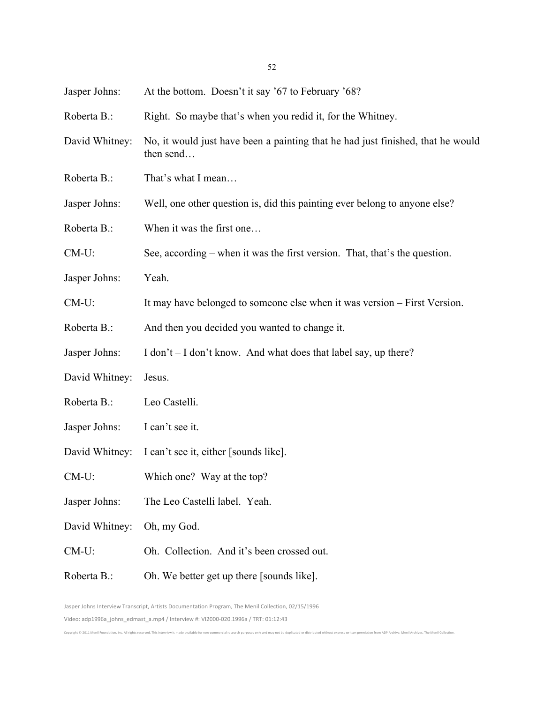| Jasper Johns:  | At the bottom. Doesn't it say '67 to February '68?                                           |
|----------------|----------------------------------------------------------------------------------------------|
| Roberta B.:    | Right. So maybe that's when you redid it, for the Whitney.                                   |
| David Whitney: | No, it would just have been a painting that he had just finished, that he would<br>then send |
| Roberta B.:    | That's what I mean                                                                           |
| Jasper Johns:  | Well, one other question is, did this painting ever belong to anyone else?                   |
| Roberta B.:    | When it was the first one                                                                    |
| $CM-U$ :       | See, according – when it was the first version. That, that's the question.                   |
| Jasper Johns:  | Yeah.                                                                                        |
| $CM-U$ :       | It may have belonged to someone else when it was version – First Version.                    |
| Roberta B.:    | And then you decided you wanted to change it.                                                |
| Jasper Johns:  | I don't – I don't know. And what does that label say, up there?                              |
| David Whitney: | Jesus.                                                                                       |
| Roberta B.:    | Leo Castelli.                                                                                |
| Jasper Johns:  | I can't see it.                                                                              |
| David Whitney: | I can't see it, either [sounds like].                                                        |
| $CM-U$ :       | Which one? Way at the top?                                                                   |
| Jasper Johns:  | The Leo Castelli label. Yeah.                                                                |
| David Whitney: | Oh, my God.                                                                                  |
| $CM-U$ :       | Oh. Collection. And it's been crossed out.                                                   |
| Roberta B.:    | Oh. We better get up there [sounds like].                                                    |

Jasper Johns Interview Transcript, Artists Documentation Program, The Menil Collection, 02/15/1996 Video: adp1996a\_johns\_edmast\_a.mp4 / Interview #: VI2000-020.1996a / TRT: 01:12:43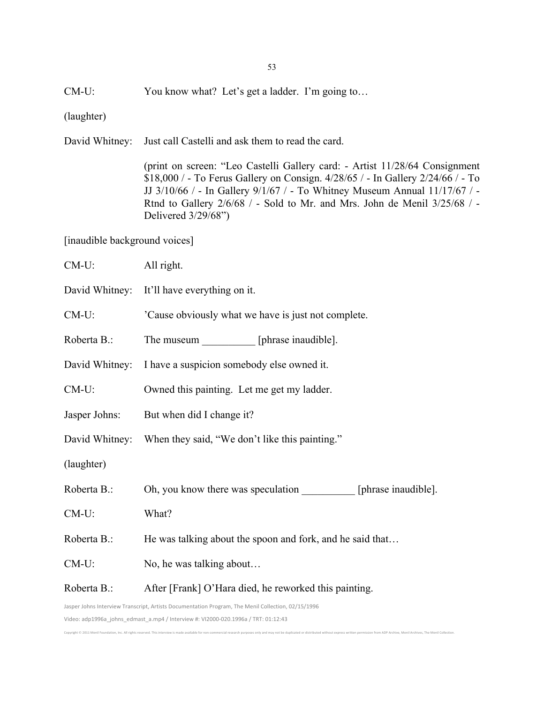CM-U: You know what? Let's get a ladder. I'm going to…

(laughter)

David Whitney: Just call Castelli and ask them to read the card.

(print on screen: "Leo Castelli Gallery card: - Artist 11/28/64 Consignment \$18,000 / - To Ferus Gallery on Consign. 4/28/65 / - In Gallery 2/24/66 / - To JJ 3/10/66 / - In Gallery 9/1/67 / - To Whitney Museum Annual 11/17/67 / - Rtnd to Gallery 2/6/68 / - Sold to Mr. and Mrs. John de Menil 3/25/68 / - Delivered 3/29/68")

[inaudible background voices]

| $CM-U$ :                                                                                           | All right.                                                        |
|----------------------------------------------------------------------------------------------------|-------------------------------------------------------------------|
|                                                                                                    | David Whitney: It'll have everything on it.                       |
| $CM-U$ :                                                                                           | 'Cause obviously what we have is just not complete.               |
| Roberta B.:                                                                                        | The museum [phrase inaudible].                                    |
| David Whitney:                                                                                     | I have a suspicion somebody else owned it.                        |
| $CM-U$ :                                                                                           | Owned this painting. Let me get my ladder.                        |
| Jasper Johns:                                                                                      | But when did I change it?                                         |
|                                                                                                    | David Whitney: When they said, "We don't like this painting."     |
| (laughter)                                                                                         |                                                                   |
| Roberta B.:                                                                                        | Oh, you know there was speculation __________ [phrase inaudible]. |
| $CM-U$ :                                                                                           | What?                                                             |
| Roberta B.:                                                                                        | He was talking about the spoon and fork, and he said that         |
| $CM-U$ :                                                                                           | No, he was talking about                                          |
| Roberta B.:                                                                                        | After [Frank] O'Hara died, he reworked this painting.             |
| Jasper Johns Interview Transcript, Artists Documentation Program, The Menil Collection, 02/15/1996 |                                                                   |

Video: adp1996a\_johns\_edmast\_a.mp4 / Interview #: VI2000-020.1996a / TRT: 01:12:43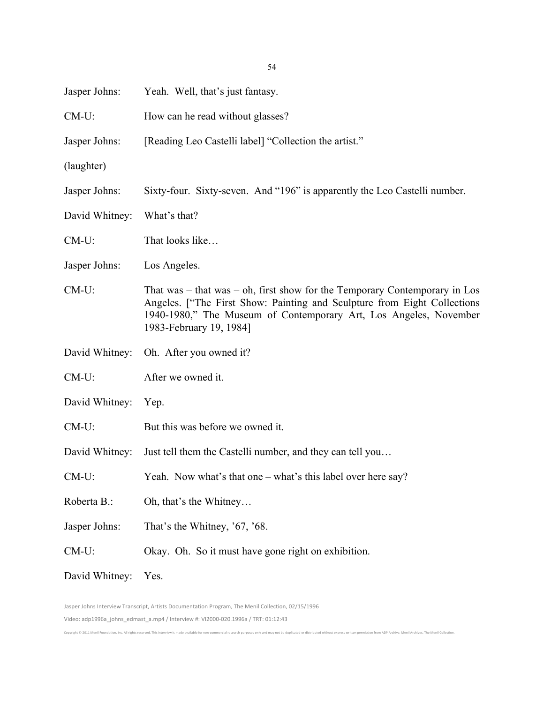| Jasper Johns:  | Yeah. Well, that's just fantasy.                                                                                                                                                                                                                           |
|----------------|------------------------------------------------------------------------------------------------------------------------------------------------------------------------------------------------------------------------------------------------------------|
| $CM-U$ :       | How can he read without glasses?                                                                                                                                                                                                                           |
| Jasper Johns:  | [Reading Leo Castelli label] "Collection the artist."                                                                                                                                                                                                      |
| (laughter)     |                                                                                                                                                                                                                                                            |
| Jasper Johns:  | Sixty-four. Sixty-seven. And "196" is apparently the Leo Castelli number.                                                                                                                                                                                  |
| David Whitney: | What's that?                                                                                                                                                                                                                                               |
| $CM-U$ :       | That looks like                                                                                                                                                                                                                                            |
| Jasper Johns:  | Los Angeles.                                                                                                                                                                                                                                               |
| CM-U:          | That was $-$ that was $-$ oh, first show for the Temporary Contemporary in Los<br>Angeles. ["The First Show: Painting and Sculpture from Eight Collections<br>1940-1980," The Museum of Contemporary Art, Los Angeles, November<br>1983-February 19, 1984] |
| David Whitney: | Oh. After you owned it?                                                                                                                                                                                                                                    |
| $CM-U$ :       | After we owned it.                                                                                                                                                                                                                                         |
| David Whitney: | Yep.                                                                                                                                                                                                                                                       |
| $CM-U$ :       | But this was before we owned it.                                                                                                                                                                                                                           |
| David Whitney: | Just tell them the Castelli number, and they can tell you                                                                                                                                                                                                  |
| $CM-U$ :       | Yeah. Now what's that one – what's this label over here say?                                                                                                                                                                                               |
| Roberta B.:    | Oh, that's the Whitney                                                                                                                                                                                                                                     |
| Jasper Johns:  | That's the Whitney, '67, '68.                                                                                                                                                                                                                              |
| $CM-U$ :       | Okay. Oh. So it must have gone right on exhibition.                                                                                                                                                                                                        |
| David Whitney: | Yes.                                                                                                                                                                                                                                                       |

54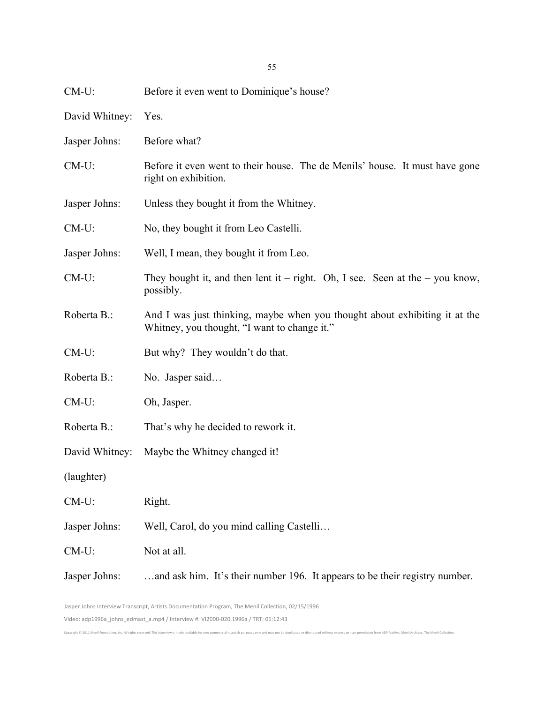| $CM-U$ :       | Before it even went to Dominique's house?                                                                                  |
|----------------|----------------------------------------------------------------------------------------------------------------------------|
| David Whitney: | Yes.                                                                                                                       |
| Jasper Johns:  | Before what?                                                                                                               |
| CM-U:          | Before it even went to their house. The de Menils' house. It must have gone<br>right on exhibition.                        |
| Jasper Johns:  | Unless they bought it from the Whitney.                                                                                    |
| $CM-U$ :       | No, they bought it from Leo Castelli.                                                                                      |
| Jasper Johns:  | Well, I mean, they bought it from Leo.                                                                                     |
| $CM-U$ :       | They bought it, and then lent it – right. Oh, I see. Seen at the – you know,<br>possibly.                                  |
| Roberta B.:    | And I was just thinking, maybe when you thought about exhibiting it at the<br>Whitney, you thought, "I want to change it." |
| $CM-U$ :       | But why? They wouldn't do that.                                                                                            |
| Roberta B.:    | No. Jasper said                                                                                                            |
| $CM-U$ :       | Oh, Jasper.                                                                                                                |
| Roberta B.:    | That's why he decided to rework it.                                                                                        |
| David Whitney: | Maybe the Whitney changed it!                                                                                              |
| (laughter)     |                                                                                                                            |
| CM-U:          | Right.                                                                                                                     |
| Jasper Johns:  | Well, Carol, do you mind calling Castelli                                                                                  |
| CM-U:          | Not at all.                                                                                                                |
| Jasper Johns:  | and ask him. It's their number 196. It appears to be their registry number.                                                |

Jasper Johns Interview Transcript, Artists Documentation Program, The Menil Collection, 02/15/1996 Video: adp1996a\_johns\_edmast\_a.mp4 / Interview #: VI2000-020.1996a / TRT: 01:12:43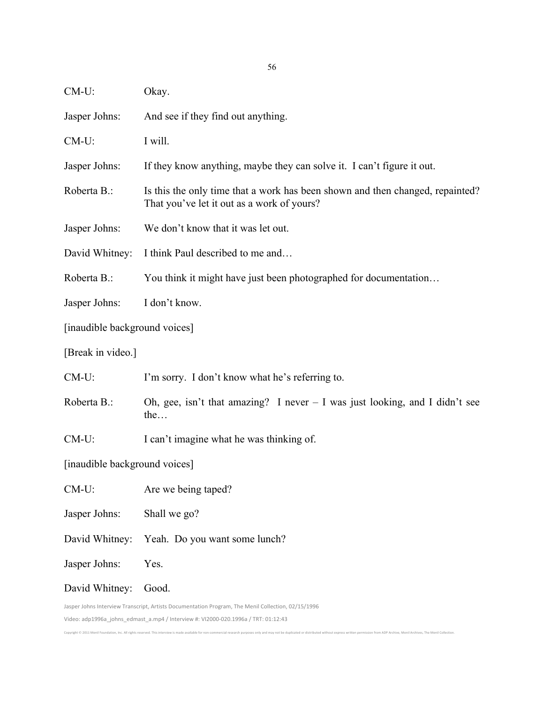| $CM-U$ :                                                                                                                                                                                 | Okay.                                                                                                                       |
|------------------------------------------------------------------------------------------------------------------------------------------------------------------------------------------|-----------------------------------------------------------------------------------------------------------------------------|
| Jasper Johns:                                                                                                                                                                            | And see if they find out anything.                                                                                          |
| $CM-U$ :                                                                                                                                                                                 | I will.                                                                                                                     |
| Jasper Johns:                                                                                                                                                                            | If they know anything, maybe they can solve it. I can't figure it out.                                                      |
| Roberta B.:                                                                                                                                                                              | Is this the only time that a work has been shown and then changed, repainted?<br>That you've let it out as a work of yours? |
| Jasper Johns:                                                                                                                                                                            | We don't know that it was let out.                                                                                          |
| David Whitney:                                                                                                                                                                           | I think Paul described to me and                                                                                            |
| Roberta B.:                                                                                                                                                                              | You think it might have just been photographed for documentation                                                            |
| Jasper Johns:                                                                                                                                                                            | I don't know.                                                                                                               |
| [inaudible background voices]                                                                                                                                                            |                                                                                                                             |
| [Break in video.]                                                                                                                                                                        |                                                                                                                             |
| $CM-U$ :                                                                                                                                                                                 | I'm sorry. I don't know what he's referring to.                                                                             |
| Roberta B.:                                                                                                                                                                              | Oh, gee, isn't that amazing? I never $-$ I was just looking, and I didn't see<br>the                                        |
| $CM-U$ :                                                                                                                                                                                 | I can't imagine what he was thinking of.                                                                                    |
| [inaudible background voices]                                                                                                                                                            |                                                                                                                             |
| $CM-U$ :                                                                                                                                                                                 | Are we being taped?                                                                                                         |
| Jasper Johns:                                                                                                                                                                            | Shall we go?                                                                                                                |
| David Whitney:                                                                                                                                                                           | Yeah. Do you want some lunch?                                                                                               |
| Jasper Johns:                                                                                                                                                                            | Yes.                                                                                                                        |
| David Whitney:                                                                                                                                                                           | Good.                                                                                                                       |
| Jasper Johns Interview Transcript, Artists Documentation Program, The Menil Collection, 02/15/1996<br>Video: adp1996a_johns_edmast_a.mp4 / Interview #: VI2000-020.1996a / TRT: 01:12:43 |                                                                                                                             |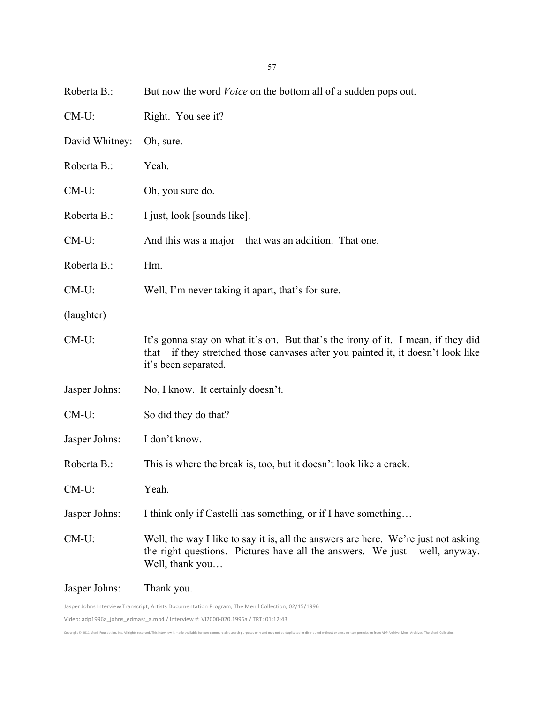| Roberta B.:    | But now the word <i>Voice</i> on the bottom all of a sudden pops out.                                                                                                                            |
|----------------|--------------------------------------------------------------------------------------------------------------------------------------------------------------------------------------------------|
| $CM-U$ :       | Right. You see it?                                                                                                                                                                               |
| David Whitney: | Oh, sure.                                                                                                                                                                                        |
| Roberta B.:    | Yeah.                                                                                                                                                                                            |
| $CM-U$ :       | Oh, you sure do.                                                                                                                                                                                 |
| Roberta B.:    | I just, look [sounds like].                                                                                                                                                                      |
| $CM-U$ :       | And this was a major – that was an addition. That one.                                                                                                                                           |
| Roberta B.:    | Hm.                                                                                                                                                                                              |
| $CM-U$ :       | Well, I'm never taking it apart, that's for sure.                                                                                                                                                |
| (laughter)     |                                                                                                                                                                                                  |
| CM-U:          | It's gonna stay on what it's on. But that's the irony of it. I mean, if they did<br>that $-$ if they stretched those canvases after you painted it, it doesn't look like<br>it's been separated. |
| Jasper Johns:  | No, I know. It certainly doesn't.                                                                                                                                                                |
| $CM-U$ :       | So did they do that?                                                                                                                                                                             |
| Jasper Johns:  | I don't know.                                                                                                                                                                                    |
| Roberta B.:    | This is where the break is, too, but it doesn't look like a crack.                                                                                                                               |
| $CM-U$ :       | Yeah.                                                                                                                                                                                            |
| Jasper Johns:  | I think only if Castelli has something, or if I have something                                                                                                                                   |
| $CM-U$ :       | Well, the way I like to say it is, all the answers are here. We're just not asking<br>the right questions. Pictures have all the answers. We just $-$ well, anyway.<br>Well, thank you           |
| Jasper Johns:  | Thank you.                                                                                                                                                                                       |
|                | Jasper Johns Interview Transcript, Artists Documentation Program, The Menil Collection, 02/15/1996                                                                                               |

Copyright © 2011 Menil Foundation, Inc. All rights reserved. This interview is made available for non-commercial research purposes only and may not be duplicated or distributed without express written permission from ADP A